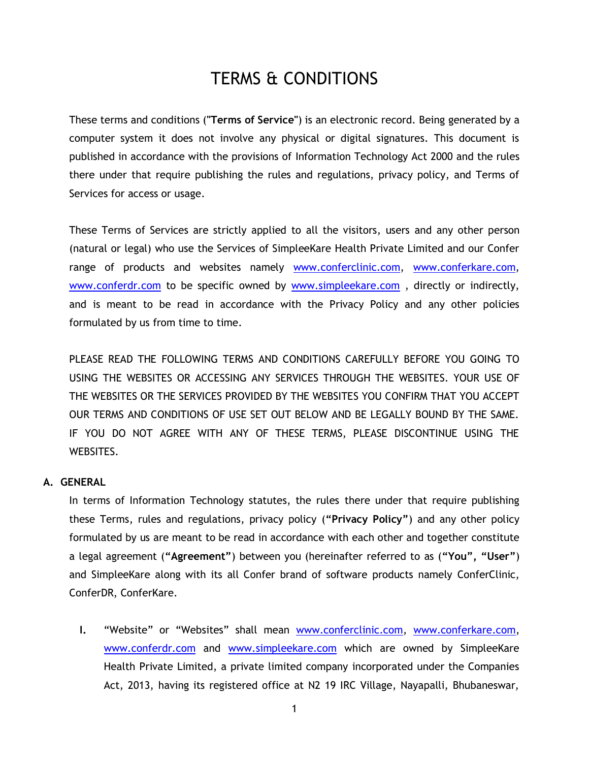# TERMS & CONDITIONS

These terms and conditions (**"Terms of Service"**) is an electronic record. Being generated by a computer system it does not involve any physical or digital signatures. This document is published in accordance with the provisions of Information Technology Act 2000 and the rules there under that require publishing the rules and regulations, privacy policy, and Terms of Services for access or usage.

These Terms of Services are strictly applied to all the visitors, users and any other person (natural or legal) who use the Services of SimpleeKare Health Private Limited and our Confer range of products and websites namely [www.conferclinic.com,](http://www.conferclinic.com/) [www.conferkare.com,](http://www.conferkare.com/) [www.conferdr.com](http://www.conferdr.com/) to be specific owned by [www.simpleekare.com](http://www.simpleekare.com/), directly or indirectly, and is meant to be read in accordance with the Privacy Policy and any other policies formulated by us from time to time.

PLEASE READ THE FOLLOWING TERMS AND CONDITIONS CAREFULLY BEFORE YOU GOING TO USING THE WEBSITES OR ACCESSING ANY SERVICES THROUGH THE WEBSITES. YOUR USE OF THE WEBSITES OR THE SERVICES PROVIDED BY THE WEBSITES YOU CONFIRM THAT YOU ACCEPT OUR TERMS AND CONDITIONS OF USE SET OUT BELOW AND BE LEGALLY BOUND BY THE SAME. IF YOU DO NOT AGREE WITH ANY OF THESE TERMS, PLEASE DISCONTINUE USING THE WEBSITES.

# **A. GENERAL**

In terms of Information Technology statutes, the rules there under that require publishing these Terms, rules and regulations, privacy policy (**"Privacy Policy"**) and any other policy formulated by us are meant to be read in accordance with each other and together constitute a legal agreement (**"Agreement"**) between you (hereinafter referred to as (**"You", "User"**) and SimpleeKare along with its all Confer brand of software products namely ConferClinic, ConferDR, ConferKare.

**I.** "Website" or "Websites" shall mean [www.conferclinic.com,](http://www.conferclinic.com/) [www.conferkare.com,](http://www.conferkare.com/) [www.conferdr.com](http://www.conferdr.com/) and [www.simpleekare.com](http://www.simpleekare.com/) which are owned by SimpleeKare Health Private Limited, a private limited company incorporated under the Companies Act, 2013, having its registered office at N2 19 IRC Village, Nayapalli, Bhubaneswar,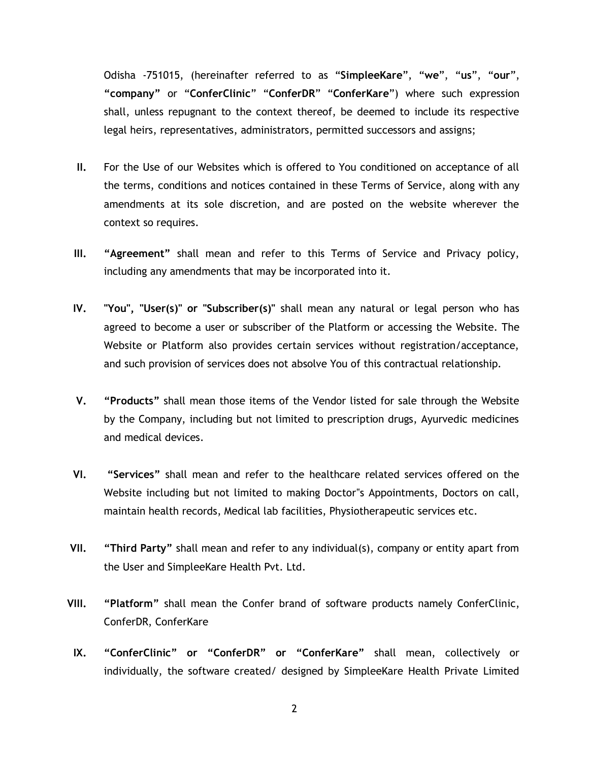Odisha -751015, (hereinafter referred to as "**SimpleeKare**", "**we**", "**us**", "**our**", **"company"** or "**ConferClinic**" "**ConferDR**" "**ConferKare**") where such expression shall, unless repugnant to the context thereof, be deemed to include its respective legal heirs, representatives, administrators, permitted successors and assigns;

- **II.** For the Use of our Websites which is offered to You conditioned on acceptance of all the terms, conditions and notices contained in these Terms of Service, along with any amendments at its sole discretion, and are posted on the website wherever the context so requires.
- **III. "Agreement"** shall mean and refer to this Terms of Service and Privacy policy, including any amendments that may be incorporated into it.
- **IV. "You", "User(s)" or "Subscriber(s)"** shall mean any natural or legal person who has agreed to become a user or subscriber of the Platform or accessing the Website. The Website or Platform also provides certain services without registration/acceptance, and such provision of services does not absolve You of this contractual relationship.
- **V. "Products"** shall mean those items of the Vendor listed for sale through the Website by the Company, including but not limited to prescription drugs, Ayurvedic medicines and medical devices.
- **VI. "Services"** shall mean and refer to the healthcare related services offered on the Website including but not limited to making Doctor"s Appointments, Doctors on call, maintain health records, Medical lab facilities, Physiotherapeutic services etc.
- **VII. "Third Party"** shall mean and refer to any individual(s), company or entity apart from the User and SimpleeKare Health Pvt. Ltd.
- **VIII. "Platform"** shall mean the Confer brand of software products namely ConferClinic, ConferDR, ConferKare
- **IX. "ConferClinic" or "ConferDR" or "ConferKare"** shall mean, collectively or individually, the software created/ designed by SimpleeKare Health Private Limited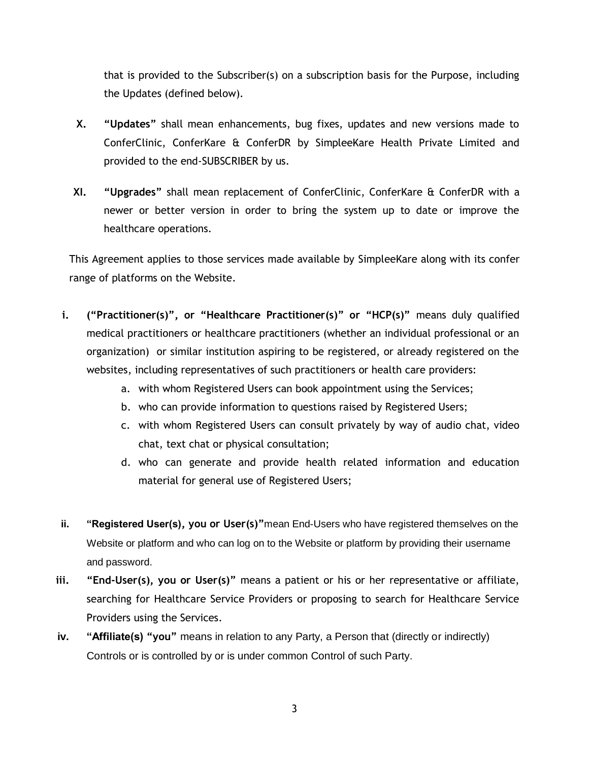that is provided to the Subscriber(s) on a subscription basis for the Purpose, including the Updates (defined below).

- **X. "Updates"** shall mean enhancements, bug fixes, updates and new versions made to ConferClinic, ConferKare & ConferDR by SimpleeKare Health Private Limited and provided to the end-SUBSCRIBER by us.
- **XI. "Upgrades"** shall mean replacement of ConferClinic, ConferKare & ConferDR with a newer or better version in order to bring the system up to date or improve the healthcare operations.

This Agreement applies to those services made available by SimpleeKare along with its confer range of platforms on the Website.

- **i. ("Practitioner(s)", or "Healthcare Practitioner(s)" or "HCP(s)"** means duly qualified medical practitioners or healthcare practitioners (whether an individual professional or an organization) or similar institution aspiring to be registered, or already registered on the websites, including representatives of such practitioners or health care providers:
	- a. with whom Registered Users can book appointment using the Services;
	- b. who can provide information to questions raised by Registered Users;
	- c. with whom Registered Users can consult privately by way of audio chat, video chat, text chat or physical consultation;
	- d. who can generate and provide health related information and education material for general use of Registered Users;
- **ii. "Registered User(s), you or User(s)"**mean End-Users who have registered themselves on the Website or platform and who can log on to the Website or platform by providing their username and password.
- **iii. "End-User(s), you or User(s)"** means a patient or his or her representative or affiliate, searching for Healthcare Service Providers or proposing to search for Healthcare Service Providers using the Services.
- **iv. "Affiliate(s) "you"** means in relation to any Party, a Person that (directly or indirectly) Controls or is controlled by or is under common Control of such Party.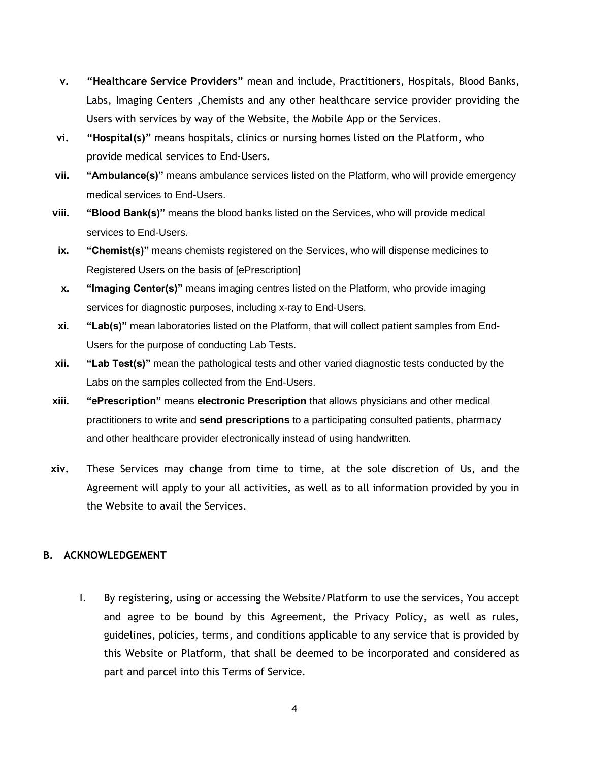- **v. "Healthcare Service Providers"** mean and include, Practitioners, Hospitals, Blood Banks, Labs, Imaging Centers ,Chemists and any other healthcare service provider providing the Users with services by way of the Website, the Mobile App or the Services.
- **vi. "Hospital(s)"** means hospitals, clinics or nursing homes listed on the Platform, who provide medical services to End-Users.
- **vii. "Ambulance(s)"** means ambulance services listed on the Platform, who will provide emergency medical services to End-Users.
- **viii. "Blood Bank(s)"** means the blood banks listed on the Services, who will provide medical services to End-Users.
- **ix. "Chemist(s)"** means chemists registered on the Services, who will dispense medicines to Registered Users on the basis of [ePrescription]
- **x. "Imaging Center(s)"** means imaging centres listed on the Platform, who provide imaging services for diagnostic purposes, including x-ray to End-Users.
- **xi. "Lab(s)"** mean laboratories listed on the Platform, that will collect patient samples from End-Users for the purpose of conducting Lab Tests.
- **xii. "Lab Test(s)"** mean the pathological tests and other varied diagnostic tests conducted by the Labs on the samples collected from the End-Users.
- **xiii. "ePrescription"** means **electronic Prescription** that allows physicians and other medical practitioners to write and **send prescriptions** to a participating consulted patients, pharmacy and other healthcare provider electronically instead of using handwritten.
- **xiv.** These Services may change from time to time, at the sole discretion of Us, and the Agreement will apply to your all activities, as well as to all information provided by you in the Website to avail the Services.

# **B. ACKNOWLEDGEMENT**

I. By registering, using or accessing the Website/Platform to use the services, You accept and agree to be bound by this Agreement, the Privacy Policy, as well as rules, guidelines, policies, terms, and conditions applicable to any service that is provided by this Website or Platform, that shall be deemed to be incorporated and considered as part and parcel into this Terms of Service.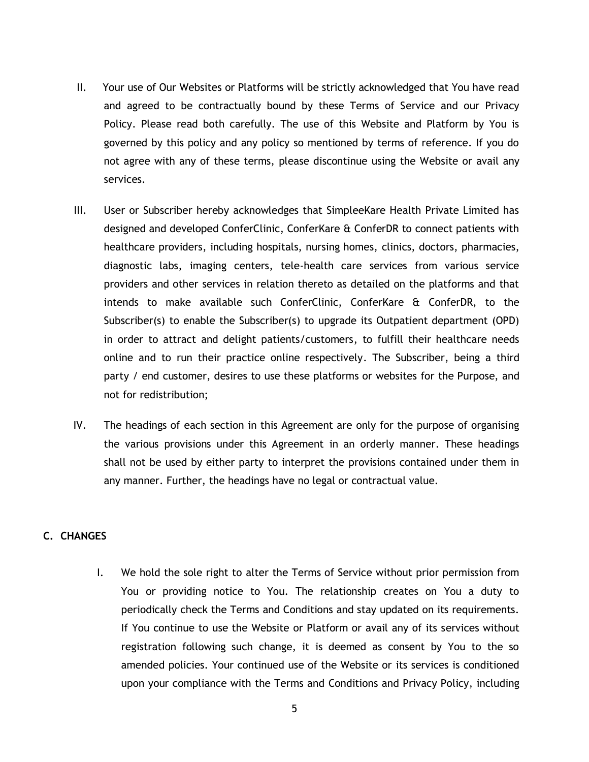- II. Your use of Our Websites or Platforms will be strictly acknowledged that You have read and agreed to be contractually bound by these Terms of Service and our Privacy Policy. Please read both carefully. The use of this Website and Platform by You is governed by this policy and any policy so mentioned by terms of reference. If you do not agree with any of these terms, please discontinue using the Website or avail any services.
- III. User or Subscriber hereby acknowledges that SimpleeKare Health Private Limited has designed and developed ConferClinic, ConferKare & ConferDR to connect patients with healthcare providers, including hospitals, nursing homes, clinics, doctors, pharmacies, diagnostic labs, imaging centers, tele-health care services from various service providers and other services in relation thereto as detailed on the platforms and that intends to make available such ConferClinic, ConferKare & ConferDR, to the Subscriber(s) to enable the Subscriber(s) to upgrade its Outpatient department (OPD) in order to attract and delight patients/customers, to fulfill their healthcare needs online and to run their practice online respectively. The Subscriber, being a third party / end customer, desires to use these platforms or websites for the Purpose, and not for redistribution;
- IV. The headings of each section in this Agreement are only for the purpose of organising the various provisions under this Agreement in an orderly manner. These headings shall not be used by either party to interpret the provisions contained under them in any manner. Further, the headings have no legal or contractual value.

### **C. CHANGES**

I. We hold the sole right to alter the Terms of Service without prior permission from You or providing notice to You. The relationship creates on You a duty to periodically check the Terms and Conditions and stay updated on its requirements. If You continue to use the Website or Platform or avail any of its services without registration following such change, it is deemed as consent by You to the so amended policies. Your continued use of the Website or its services is conditioned upon your compliance with the Terms and Conditions and Privacy Policy, including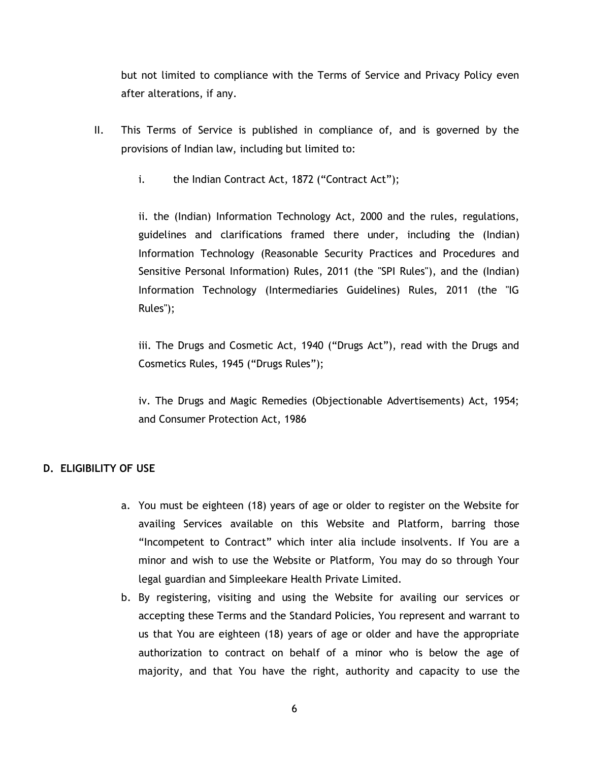but not limited to compliance with the Terms of Service and Privacy Policy even after alterations, if any.

- II. This Terms of Service is published in compliance of, and is governed by the provisions of Indian law, including but limited to:
	- i. the Indian Contract Act, 1872 ("Contract Act");

ii. the (Indian) Information Technology Act, 2000 and the rules, regulations, guidelines and clarifications framed there under, including the (Indian) Information Technology (Reasonable Security Practices and Procedures and Sensitive Personal Information) Rules, 2011 (the "SPI Rules"), and the (Indian) Information Technology (Intermediaries Guidelines) Rules, 2011 (the "IG Rules");

iii. The Drugs and Cosmetic Act, 1940 ("Drugs Act"), read with the Drugs and Cosmetics Rules, 1945 ("Drugs Rules");

iv. The Drugs and Magic Remedies (Objectionable Advertisements) Act, 1954; and Consumer Protection Act, 1986

# **D. ELIGIBILITY OF USE**

- a. You must be eighteen (18) years of age or older to register on the Website for availing Services available on this Website and Platform, barring those "Incompetent to Contract" which inter alia include insolvents. If You are a minor and wish to use the Website or Platform, You may do so through Your legal guardian and Simpleekare Health Private Limited.
- b. By registering, visiting and using the Website for availing our services or accepting these Terms and the Standard Policies, You represent and warrant to us that You are eighteen (18) years of age or older and have the appropriate authorization to contract on behalf of a minor who is below the age of majority, and that You have the right, authority and capacity to use the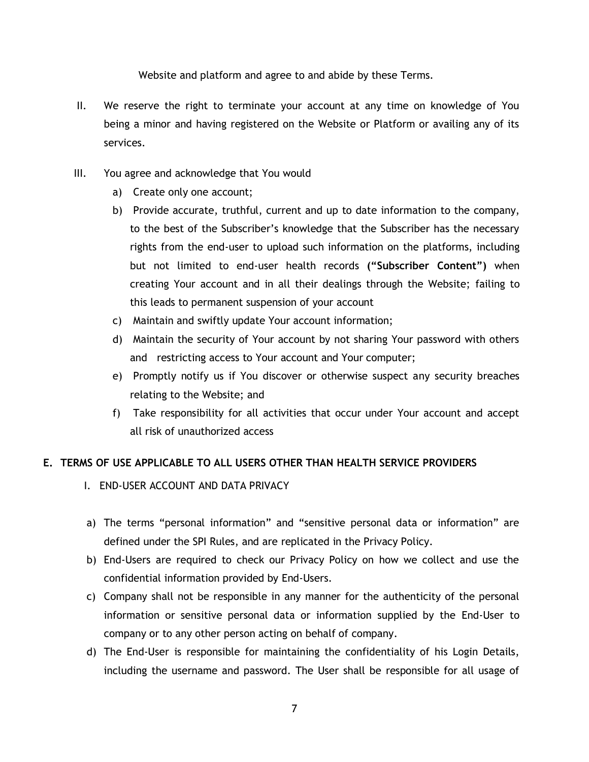Website and platform and agree to and abide by these Terms.

- II. We reserve the right to terminate your account at any time on knowledge of You being a minor and having registered on the Website or Platform or availing any of its services.
- III. You agree and acknowledge that You would
	- a) Create only one account;
	- b) Provide accurate, truthful, current and up to date information to the company, to the best of the Subscriber's knowledge that the Subscriber has the necessary rights from the end-user to upload such information on the platforms, including but not limited to end-user health records **("Subscriber Content")** when creating Your account and in all their dealings through the Website; failing to this leads to permanent suspension of your account
	- c) Maintain and swiftly update Your account information;
	- d) Maintain the security of Your account by not sharing Your password with others and restricting access to Your account and Your computer;
	- e) Promptly notify us if You discover or otherwise suspect any security breaches relating to the Website; and
	- f) Take responsibility for all activities that occur under Your account and accept all risk of unauthorized access

# **E. TERMS OF USE APPLICABLE TO ALL USERS OTHER THAN HEALTH SERVICE PROVIDERS**

- I. END-USER ACCOUNT AND DATA PRIVACY
- a) The terms "personal information" and "sensitive personal data or information" are defined under the SPI Rules, and are replicated in the Privacy Policy.
- b) End-Users are required to check our Privacy Policy on how we collect and use the confidential information provided by End-Users.
- c) Company shall not be responsible in any manner for the authenticity of the personal information or sensitive personal data or information supplied by the End-User to company or to any other person acting on behalf of company.
- d) The End-User is responsible for maintaining the confidentiality of his Login Details, including the username and password. The User shall be responsible for all usage of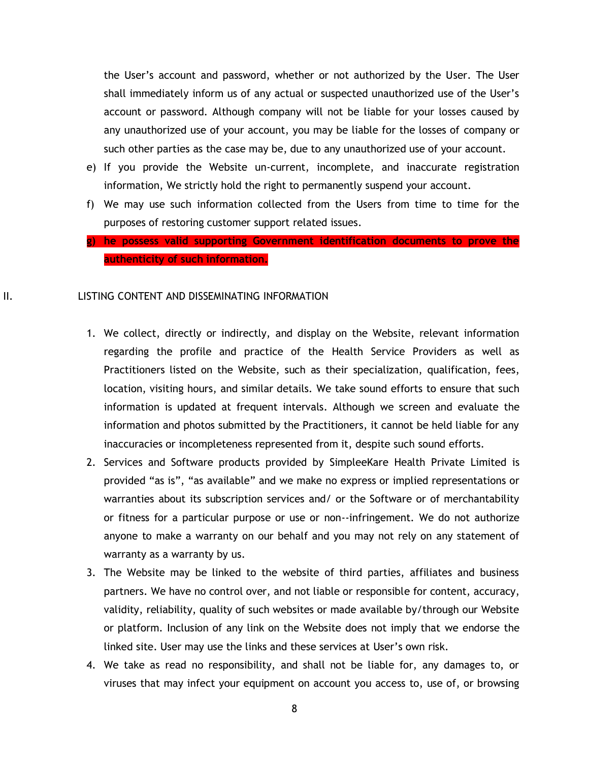the User's account and password, whether or not authorized by the User. The User shall immediately inform us of any actual or suspected unauthorized use of the User's account or password. Although company will not be liable for your losses caused by any unauthorized use of your account, you may be liable for the losses of company or such other parties as the case may be, due to any unauthorized use of your account.

- e) If you provide the Website un-current, incomplete, and inaccurate registration information, We strictly hold the right to permanently suspend your account.
- f) We may use such information collected from the Users from time to time for the purposes of restoring customer support related issues.
- **g) he possess valid supporting Government identification documents to prove the authenticity of such information.**

### II. LISTING CONTENT AND DISSEMINATING INFORMATION

- 1. We collect, directly or indirectly, and display on the Website, relevant information regarding the profile and practice of the Health Service Providers as well as Practitioners listed on the Website, such as their specialization, qualification, fees, location, visiting hours, and similar details. We take sound efforts to ensure that such information is updated at frequent intervals. Although we screen and evaluate the information and photos submitted by the Practitioners, it cannot be held liable for any inaccuracies or incompleteness represented from it, despite such sound efforts.
- 2. Services and Software products provided by SimpleeKare Health Private Limited is provided "as is", "as available" and we make no express or implied representations or warranties about its subscription services and/ or the Software or of merchantability or fitness for a particular purpose or use or non--infringement. We do not authorize anyone to make a warranty on our behalf and you may not rely on any statement of warranty as a warranty by us.
- 3. The Website may be linked to the website of third parties, affiliates and business partners. We have no control over, and not liable or responsible for content, accuracy, validity, reliability, quality of such websites or made available by/through our Website or platform. Inclusion of any link on the Website does not imply that we endorse the linked site. User may use the links and these services at User's own risk.
- 4. We take as read no responsibility, and shall not be liable for, any damages to, or viruses that may infect your equipment on account you access to, use of, or browsing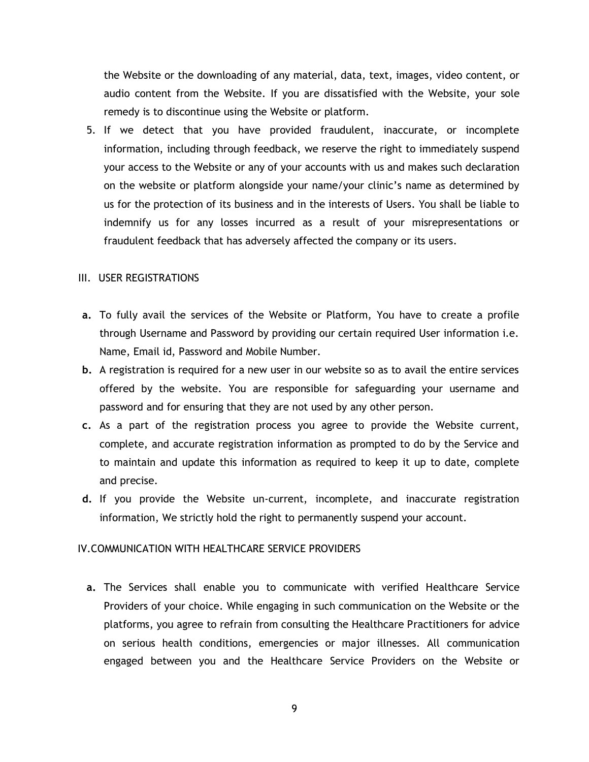the Website or the downloading of any material, data, text, images, video content, or audio content from the Website. If you are dissatisfied with the Website, your sole remedy is to discontinue using the Website or platform.

5. If we detect that you have provided fraudulent, inaccurate, or incomplete information, including through feedback, we reserve the right to immediately suspend your access to the Website or any of your accounts with us and makes such declaration on the website or platform alongside your name/your clinic's name as determined by us for the protection of its business and in the interests of Users. You shall be liable to indemnify us for any losses incurred as a result of your misrepresentations or fraudulent feedback that has adversely affected the company or its users.

### III. USER REGISTRATIONS

- **a.** To fully avail the services of the Website or Platform, You have to create a profile through Username and Password by providing our certain required User information i.e. Name, Email id, Password and Mobile Number.
- **b.** A registration is required for a new user in our website so as to avail the entire services offered by the website. You are responsible for safeguarding your username and password and for ensuring that they are not used by any other person.
- **c.** As a part of the registration process you agree to provide the Website current, complete, and accurate registration information as prompted to do by the Service and to maintain and update this information as required to keep it up to date, complete and precise.
- **d.** If you provide the Website un-current, incomplete, and inaccurate registration information, We strictly hold the right to permanently suspend your account.

# IV.COMMUNICATION WITH HEALTHCARE SERVICE PROVIDERS

**a.** The Services shall enable you to communicate with verified Healthcare Service Providers of your choice. While engaging in such communication on the Website or the platforms, you agree to refrain from consulting the Healthcare Practitioners for advice on serious health conditions, emergencies or major illnesses. All communication engaged between you and the Healthcare Service Providers on the Website or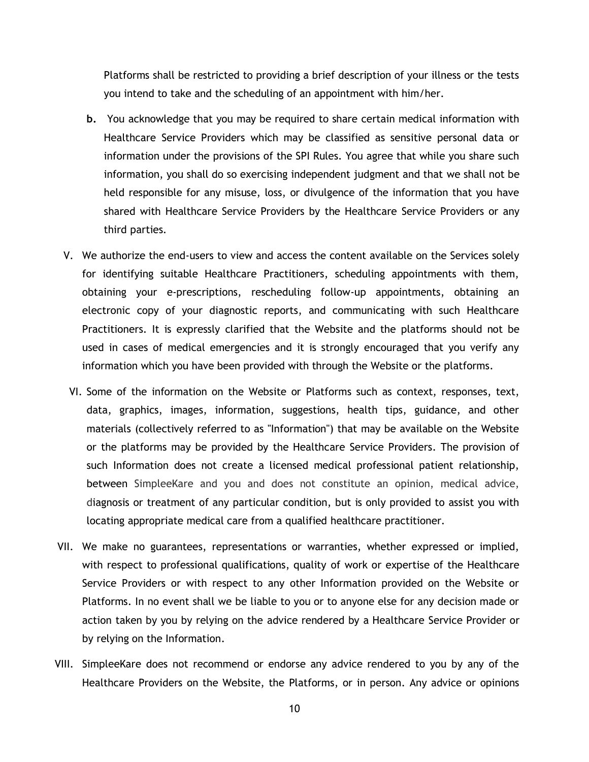Platforms shall be restricted to providing a brief description of your illness or the tests you intend to take and the scheduling of an appointment with him/her.

- **b.** You acknowledge that you may be required to share certain medical information with Healthcare Service Providers which may be classified as sensitive personal data or information under the provisions of the SPI Rules. You agree that while you share such information, you shall do so exercising independent judgment and that we shall not be held responsible for any misuse, loss, or divulgence of the information that you have shared with Healthcare Service Providers by the Healthcare Service Providers or any third parties.
- V. We authorize the end-users to view and access the content available on the Services solely for identifying suitable Healthcare Practitioners, scheduling appointments with them, obtaining your e-prescriptions, rescheduling follow-up appointments, obtaining an electronic copy of your diagnostic reports, and communicating with such Healthcare Practitioners. It is expressly clarified that the Website and the platforms should not be used in cases of medical emergencies and it is strongly encouraged that you verify any information which you have been provided with through the Website or the platforms.
- VI. Some of the information on the Website or Platforms such as context, responses, text, data, graphics, images, information, suggestions, health tips, guidance, and other materials (collectively referred to as "Information") that may be available on the Website or the platforms may be provided by the Healthcare Service Providers. The provision of such Information does not create a licensed medical professional patient relationship, between SimpleeKare and you and does not constitute an opinion, medical advice, diagnosis or treatment of any particular condition, but is only provided to assist you with locating appropriate medical care from a qualified healthcare practitioner.
- VII. We make no guarantees, representations or warranties, whether expressed or implied, with respect to professional qualifications, quality of work or expertise of the Healthcare Service Providers or with respect to any other Information provided on the Website or Platforms. In no event shall we be liable to you or to anyone else for any decision made or action taken by you by relying on the advice rendered by a Healthcare Service Provider or by relying on the Information.
- VIII. SimpleeKare does not recommend or endorse any advice rendered to you by any of the Healthcare Providers on the Website, the Platforms, or in person. Any advice or opinions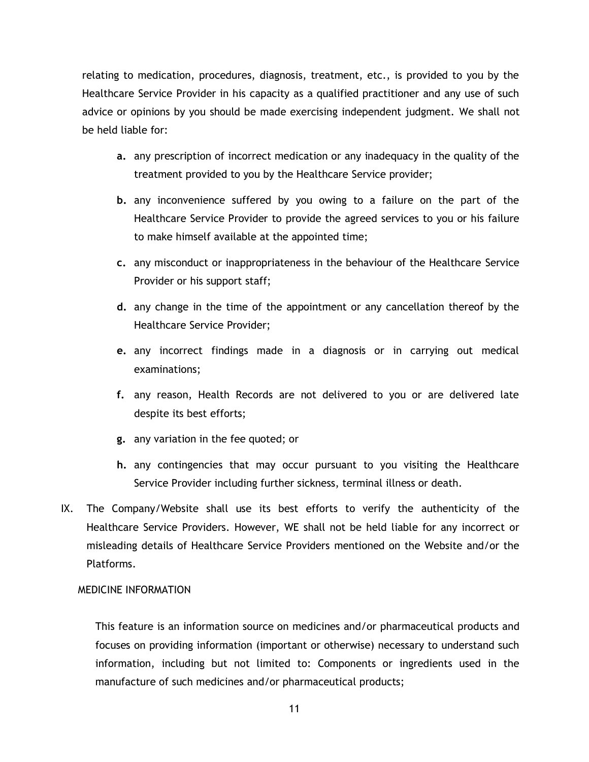relating to medication, procedures, diagnosis, treatment, etc., is provided to you by the Healthcare Service Provider in his capacity as a qualified practitioner and any use of such advice or opinions by you should be made exercising independent judgment. We shall not be held liable for:

- **a.** any prescription of incorrect medication or any inadequacy in the quality of the treatment provided to you by the Healthcare Service provider;
- **b.** any inconvenience suffered by you owing to a failure on the part of the Healthcare Service Provider to provide the agreed services to you or his failure to make himself available at the appointed time;
- **c.** any misconduct or inappropriateness in the behaviour of the Healthcare Service Provider or his support staff;
- **d.** any change in the time of the appointment or any cancellation thereof by the Healthcare Service Provider;
- **e.** any incorrect findings made in a diagnosis or in carrying out medical examinations;
- **f.** any reason, Health Records are not delivered to you or are delivered late despite its best efforts;
- **g.** any variation in the fee quoted; or
- **h.** any contingencies that may occur pursuant to you visiting the Healthcare Service Provider including further sickness, terminal illness or death.
- IX. The Company/Website shall use its best efforts to verify the authenticity of the Healthcare Service Providers. However, WE shall not be held liable for any incorrect or misleading details of Healthcare Service Providers mentioned on the Website and/or the Platforms.

# X. MEDICINE INFORMATION

This feature is an information source on medicines and/or pharmaceutical products and focuses on providing information (important or otherwise) necessary to understand such information, including but not limited to: Components or ingredients used in the manufacture of such medicines and/or pharmaceutical products;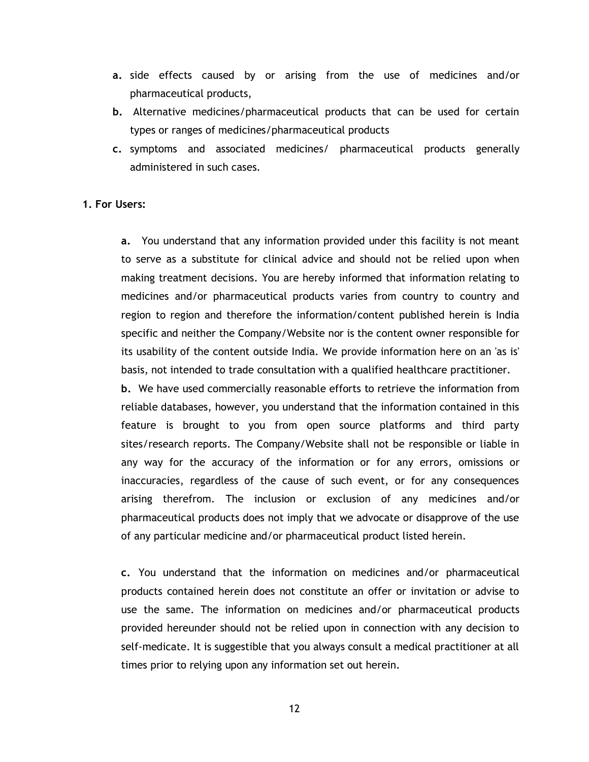- **a.** side effects caused by or arising from the use of medicines and/or pharmaceutical products,
- **b.** Alternative medicines/pharmaceutical products that can be used for certain types or ranges of medicines/pharmaceutical products
- **c.** symptoms and associated medicines/ pharmaceutical products generally administered in such cases.

### **1. For Users:**

**a.** You understand that any information provided under this facility is not meant to serve as a substitute for clinical advice and should not be relied upon when making treatment decisions. You are hereby informed that information relating to medicines and/or pharmaceutical products varies from country to country and region to region and therefore the information/content published herein is India specific and neither the Company/Website nor is the content owner responsible for its usability of the content outside India. We provide information here on an 'as is' basis, not intended to trade consultation with a qualified healthcare practitioner.

**b.** We have used commercially reasonable efforts to retrieve the information from reliable databases, however, you understand that the information contained in this feature is brought to you from open source platforms and third party sites/research reports. The Company/Website shall not be responsible or liable in any way for the accuracy of the information or for any errors, omissions or inaccuracies, regardless of the cause of such event, or for any consequences arising therefrom. The inclusion or exclusion of any medicines and/or pharmaceutical products does not imply that we advocate or disapprove of the use of any particular medicine and/or pharmaceutical product listed herein.

**c.** You understand that the information on medicines and/or pharmaceutical products contained herein does not constitute an offer or invitation or advise to use the same. The information on medicines and/or pharmaceutical products provided hereunder should not be relied upon in connection with any decision to self-medicate. It is suggestible that you always consult a medical practitioner at all times prior to relying upon any information set out herein.

12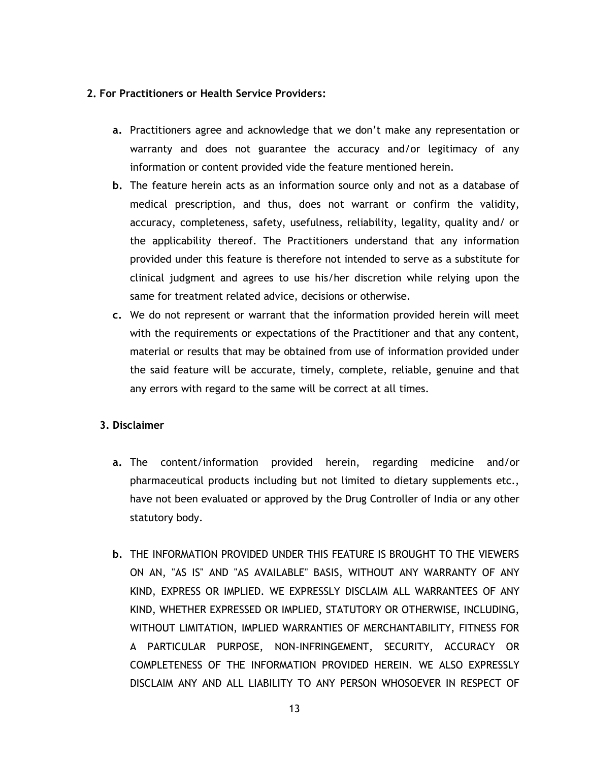# **2. For Practitioners or Health Service Providers:**

- **a.** Practitioners agree and acknowledge that we don't make any representation or warranty and does not guarantee the accuracy and/or legitimacy of any information or content provided vide the feature mentioned herein.
- **b.** The feature herein acts as an information source only and not as a database of medical prescription, and thus, does not warrant or confirm the validity, accuracy, completeness, safety, usefulness, reliability, legality, quality and/ or the applicability thereof. The Practitioners understand that any information provided under this feature is therefore not intended to serve as a substitute for clinical judgment and agrees to use his/her discretion while relying upon the same for treatment related advice, decisions or otherwise.
- **c.** We do not represent or warrant that the information provided herein will meet with the requirements or expectations of the Practitioner and that any content, material or results that may be obtained from use of information provided under the said feature will be accurate, timely, complete, reliable, genuine and that any errors with regard to the same will be correct at all times.

# **3. Disclaimer**

- **a.** The content/information provided herein, regarding medicine and/or pharmaceutical products including but not limited to dietary supplements etc., have not been evaluated or approved by the Drug Controller of India or any other statutory body.
- **b.** THE INFORMATION PROVIDED UNDER THIS FEATURE IS BROUGHT TO THE VIEWERS ON AN, "AS IS" AND "AS AVAILABLE" BASIS, WITHOUT ANY WARRANTY OF ANY KIND, EXPRESS OR IMPLIED. WE EXPRESSLY DISCLAIM ALL WARRANTEES OF ANY KIND, WHETHER EXPRESSED OR IMPLIED, STATUTORY OR OTHERWISE, INCLUDING, WITHOUT LIMITATION, IMPLIED WARRANTIES OF MERCHANTABILITY, FITNESS FOR A PARTICULAR PURPOSE, NON-INFRINGEMENT, SECURITY, ACCURACY OR COMPLETENESS OF THE INFORMATION PROVIDED HEREIN. WE ALSO EXPRESSLY DISCLAIM ANY AND ALL LIABILITY TO ANY PERSON WHOSOEVER IN RESPECT OF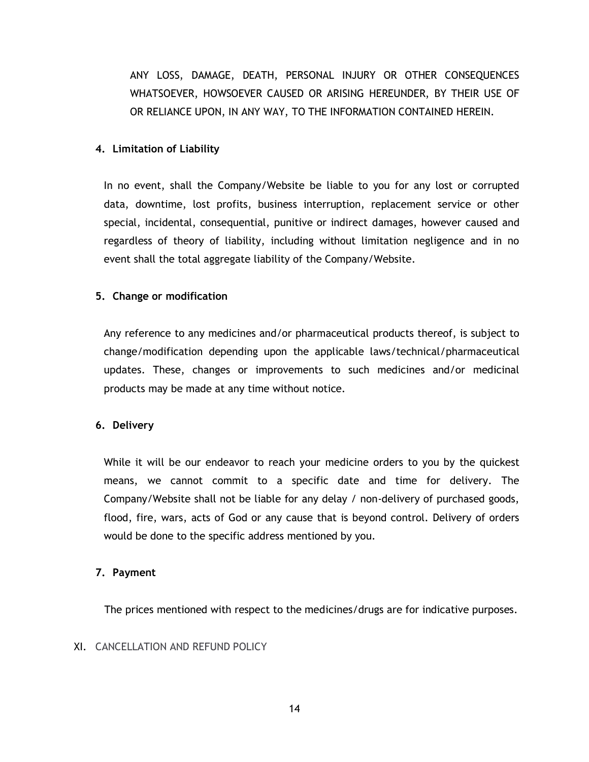ANY LOSS, DAMAGE, DEATH, PERSONAL INJURY OR OTHER CONSEQUENCES WHATSOEVER, HOWSOEVER CAUSED OR ARISING HEREUNDER, BY THEIR USE OF OR RELIANCE UPON, IN ANY WAY, TO THE INFORMATION CONTAINED HEREIN.

# **4. Limitation of Liability**

In no event, shall the Company/Website be liable to you for any lost or corrupted data, downtime, lost profits, business interruption, replacement service or other special, incidental, consequential, punitive or indirect damages, however caused and regardless of theory of liability, including without limitation negligence and in no event shall the total aggregate liability of the Company/Website.

# **5. Change or modification**

Any reference to any medicines and/or pharmaceutical products thereof, is subject to change/modification depending upon the applicable laws/technical/pharmaceutical updates. These, changes or improvements to such medicines and/or medicinal products may be made at any time without notice.

# **6. Delivery**

While it will be our endeavor to reach your medicine orders to you by the quickest means, we cannot commit to a specific date and time for delivery. The Company/Website shall not be liable for any delay / non-delivery of purchased goods, flood, fire, wars, acts of God or any cause that is beyond control. Delivery of orders would be done to the specific address mentioned by you.

# **7. Payment**

The prices mentioned with respect to the medicines/drugs are for indicative purposes.

# XI. CANCELLATION AND REFUND POLICY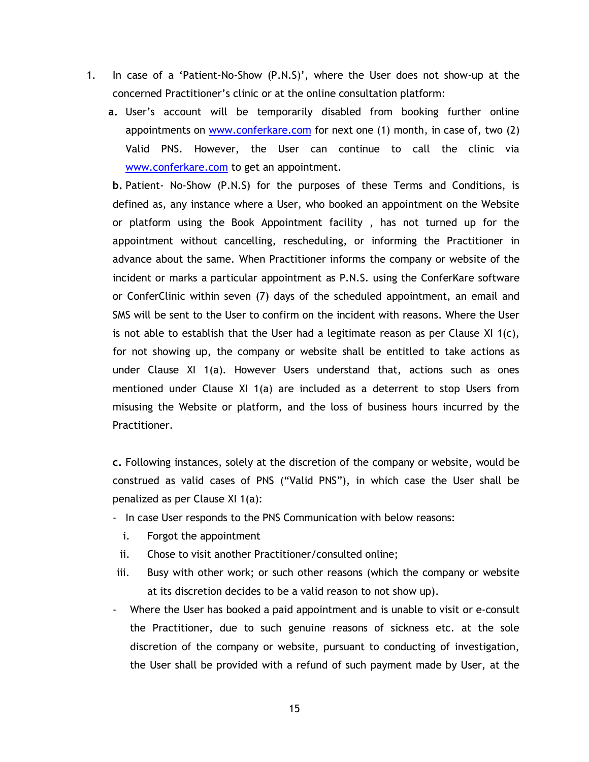- 1. In case of a 'Patient-No-Show (P.N.S)', where the User does not show-up at the concerned Practitioner's clinic or at the online consultation platform:
	- **a.** User's account will be temporarily disabled from booking further online appointments on [www.conferkare.com](http://www.conferkare.com/) for next one (1) month, in case of, two (2) Valid PNS. However, the User can continue to call the clinic via [www.conferkare.com](http://www.conferkare.com/) to get an appointment.

**b.** Patient- No-Show (P.N.S) for the purposes of these Terms and Conditions, is defined as, any instance where a User, who booked an appointment on the Website or platform using the Book Appointment facility , has not turned up for the appointment without cancelling, rescheduling, or informing the Practitioner in advance about the same. When Practitioner informs the company or website of the incident or marks a particular appointment as P.N.S. using the ConferKare software or ConferClinic within seven (7) days of the scheduled appointment, an email and SMS will be sent to the User to confirm on the incident with reasons. Where the User is not able to establish that the User had a legitimate reason as per Clause XI 1(c), for not showing up, the company or website shall be entitled to take actions as under Clause XI 1(a). However Users understand that, actions such as ones mentioned under Clause XI 1(a) are included as a deterrent to stop Users from misusing the Website or platform, and the loss of business hours incurred by the Practitioner.

**c.** Following instances, solely at the discretion of the company or website, would be construed as valid cases of PNS ("Valid PNS"), in which case the User shall be penalized as per Clause XI 1(a):

- In case User responds to the PNS Communication with below reasons:
	- i. Forgot the appointment
- ii. Chose to visit another Practitioner/consulted online;
- iii. Busy with other work; or such other reasons (which the company or website at its discretion decides to be a valid reason to not show up).
- Where the User has booked a paid appointment and is unable to visit or e-consult the Practitioner, due to such genuine reasons of sickness etc. at the sole discretion of the company or website, pursuant to conducting of investigation, the User shall be provided with a refund of such payment made by User, at the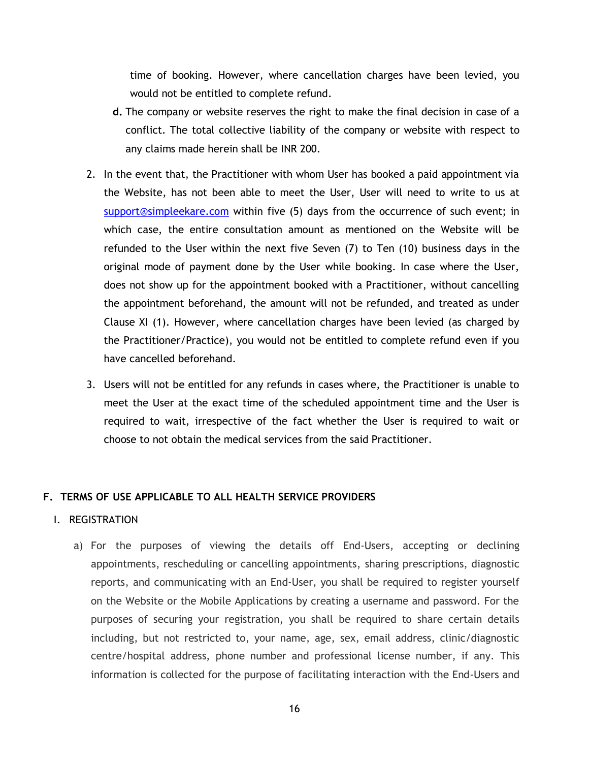time of booking. However, where cancellation charges have been levied, you would not be entitled to complete refund.

- **d.** The company or website reserves the right to make the final decision in case of a conflict. The total collective liability of the company or website with respect to any claims made herein shall be INR 200.
- 2. In the event that, the Practitioner with whom User has booked a paid appointment via the Website, has not been able to meet the User, User will need to write to us at [support@simpleekare.com](mailto:support@simpleekare.com) within five (5) days from the occurrence of such event; in which case, the entire consultation amount as mentioned on the Website will be refunded to the User within the next five Seven (7) to Ten (10) business days in the original mode of payment done by the User while booking. In case where the User, does not show up for the appointment booked with a Practitioner, without cancelling the appointment beforehand, the amount will not be refunded, and treated as under Clause XI (1). However, where cancellation charges have been levied (as charged by the Practitioner/Practice), you would not be entitled to complete refund even if you have cancelled beforehand.
- 3. Users will not be entitled for any refunds in cases where, the Practitioner is unable to meet the User at the exact time of the scheduled appointment time and the User is required to wait, irrespective of the fact whether the User is required to wait or choose to not obtain the medical services from the said Practitioner.

# **F. TERMS OF USE APPLICABLE TO ALL HEALTH SERVICE PROVIDERS**

### I. REGISTRATION

a) For the purposes of viewing the details off End-Users, accepting or declining appointments, rescheduling or cancelling appointments, sharing prescriptions, diagnostic reports, and communicating with an End-User, you shall be required to register yourself on the Website or the Mobile Applications by creating a username and password. For the purposes of securing your registration, you shall be required to share certain details including, but not restricted to, your name, age, sex, email address, clinic/diagnostic centre/hospital address, phone number and professional license number, if any. This information is collected for the purpose of facilitating interaction with the End-Users and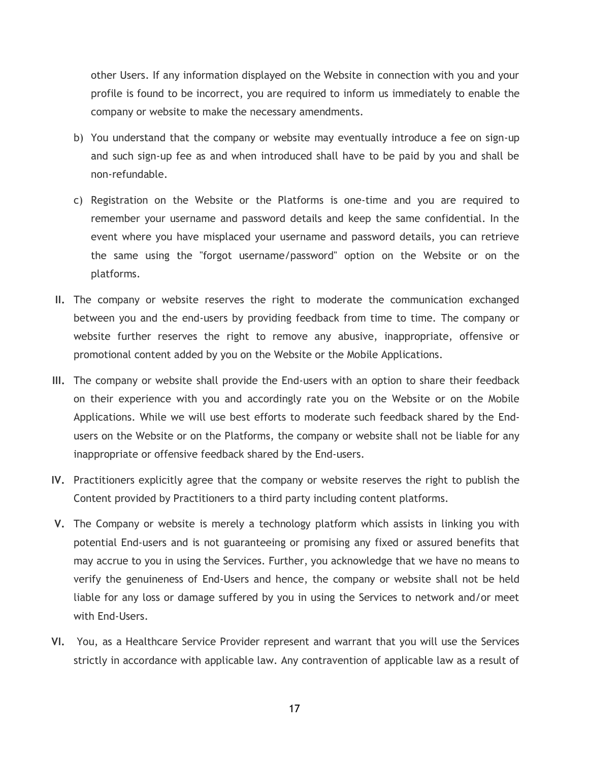other Users. If any information displayed on the Website in connection with you and your profile is found to be incorrect, you are required to inform us immediately to enable the company or website to make the necessary amendments.

- b) You understand that the company or website may eventually introduce a fee on sign-up and such sign-up fee as and when introduced shall have to be paid by you and shall be non-refundable.
- c) Registration on the Website or the Platforms is one-time and you are required to remember your username and password details and keep the same confidential. In the event where you have misplaced your username and password details, you can retrieve the same using the "forgot username/password" option on the Website or on the platforms.
- **II.** The company or website reserves the right to moderate the communication exchanged between you and the end-users by providing feedback from time to time. The company or website further reserves the right to remove any abusive, inappropriate, offensive or promotional content added by you on the Website or the Mobile Applications.
- **III.** The company or website shall provide the End-users with an option to share their feedback on their experience with you and accordingly rate you on the Website or on the Mobile Applications. While we will use best efforts to moderate such feedback shared by the Endusers on the Website or on the Platforms, the company or website shall not be liable for any inappropriate or offensive feedback shared by the End-users.
- **IV.** Practitioners explicitly agree that the company or website reserves the right to publish the Content provided by Practitioners to a third party including content platforms.
- **V.** The Company or website is merely a technology platform which assists in linking you with potential End-users and is not guaranteeing or promising any fixed or assured benefits that may accrue to you in using the Services. Further, you acknowledge that we have no means to verify the genuineness of End-Users and hence, the company or website shall not be held liable for any loss or damage suffered by you in using the Services to network and/or meet with End-Users.
- **VI.** You, as a Healthcare Service Provider represent and warrant that you will use the Services strictly in accordance with applicable law. Any contravention of applicable law as a result of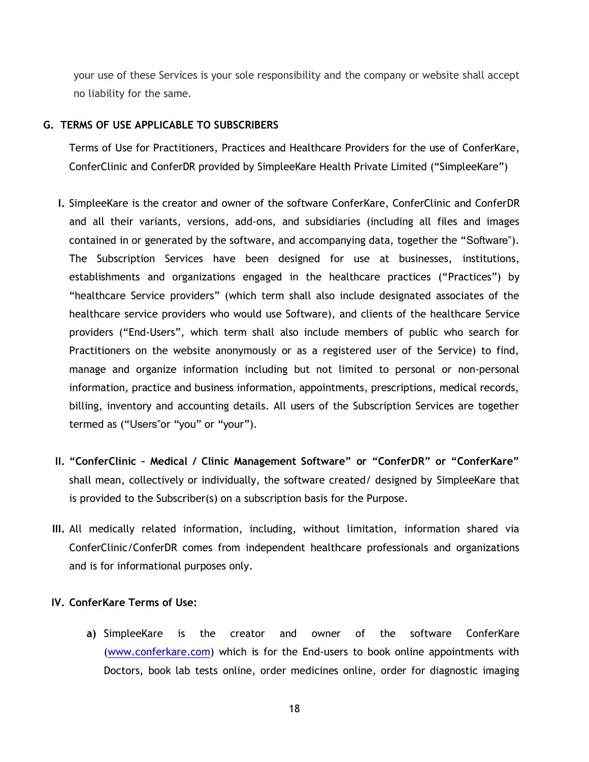your use of these Services is your sole responsibility and the company or website shall accept no liability for the same.

### **G. TERMS OF USE APPLICABLE TO SUBSCRIBERS**

Terms of Use for Practitioners, Practices and Healthcare Providers for the use of ConferKare, ConferClinic and ConferDR provided by SimpleeKare Health Private Limited ("SimpleeKare")

- **I.** SimpleeKare is the creator and owner of the software ConferKare, ConferClinic and ConferDR and all their variants, versions, add-ons, and subsidiaries (including all files and images contained in or generated by the software, and accompanying data, together the "Software"). The Subscription Services have been designed for use at businesses, institutions, establishments and organizations engaged in the healthcare practices ("Practices") by "healthcare Service providers" (which term shall also include designated associates of the healthcare service providers who would use Software), and clients of the healthcare Service providers ("End-Users", which term shall also include members of public who search for Practitioners on the website anonymously or as a registered user of the Service) to find, manage and organize information including but not limited to personal or non-personal information, practice and business information, appointments, prescriptions, medical records, billing, inventory and accounting details. All users of the Subscription Services are together termed as ("Users"or "you" or "your").
- **II. "ConferClinic – Medical / Clinic Management Software" or "ConferDR" or "ConferKare"**  shall mean, collectively or individually, the software created/ designed by SimpleeKare that is provided to the Subscriber(s) on a subscription basis for the Purpose.
- **III.** All medically related information, including, without limitation, information shared via ConferClinic/ConferDR comes from independent healthcare professionals and organizations and is for informational purposes only.

# **IV. ConferKare Terms of Use:**

**a)** SimpleeKare is the creator and owner of the software ConferKare [\(www.conferkare.com\)](http://www.conferkare.com/) which is for the End-users to book online appointments with Doctors, book lab tests online, order medicines online, order for diagnostic imaging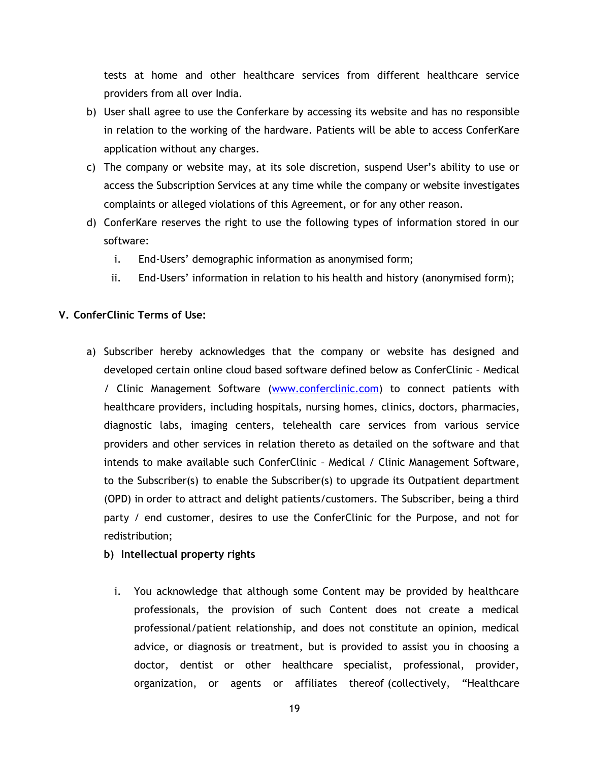tests at home and other healthcare services from different healthcare service providers from all over India.

- b) User shall agree to use the Conferkare by accessing its website and has no responsible in relation to the working of the hardware. Patients will be able to access ConferKare application without any charges.
- c) The company or website may, at its sole discretion, suspend User's ability to use or access the Subscription Services at any time while the company or website investigates complaints or alleged violations of this Agreement, or for any other reason.
- d) ConferKare reserves the right to use the following types of information stored in our software:
	- i. End-Users' demographic information as anonymised form;
	- ii. End-Users' information in relation to his health and history (anonymised form);

# **V. ConferClinic Terms of Use:**

- a) Subscriber hereby acknowledges that the company or website has designed and developed certain online cloud based software defined below as ConferClinic – Medical / Clinic Management Software [\(www.conferclinic.com\)](http://www.conferclinic.com/) to connect patients with healthcare providers, including hospitals, nursing homes, clinics, doctors, pharmacies, diagnostic labs, imaging centers, telehealth care services from various service providers and other services in relation thereto as detailed on the software and that intends to make available such ConferClinic – Medical / Clinic Management Software, to the Subscriber(s) to enable the Subscriber(s) to upgrade its Outpatient department (OPD) in order to attract and delight patients/customers. The Subscriber, being a third party / end customer, desires to use the ConferClinic for the Purpose, and not for redistribution;
	- **b) Intellectual property rights**
		- i. You acknowledge that although some Content may be provided by healthcare professionals, the provision of such Content does not create a medical professional/patient relationship, and does not constitute an opinion, medical advice, or diagnosis or treatment, but is provided to assist you in choosing a doctor, dentist or other healthcare specialist, professional, provider, organization, or agents or affiliates thereof (collectively, "Healthcare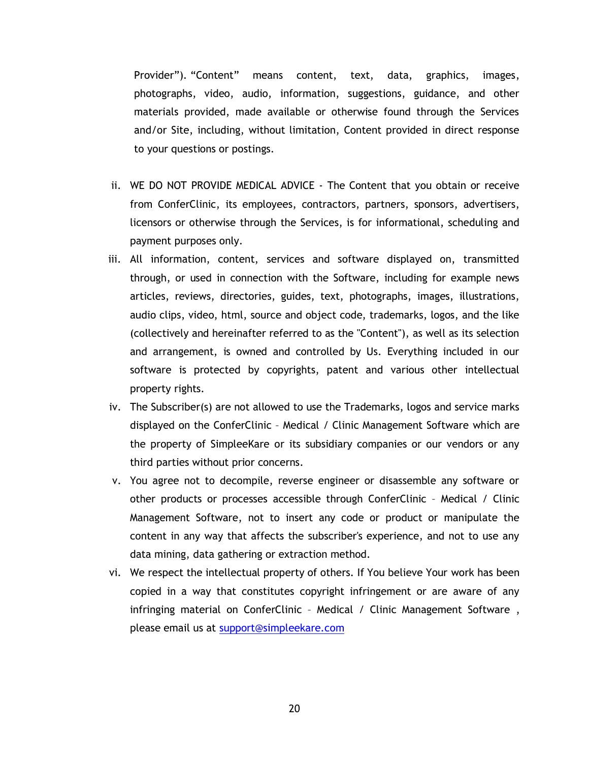Provider"). "Content" means content, text, data, graphics, images, photographs, video, audio, information, suggestions, guidance, and other materials provided, made available or otherwise found through the Services and/or Site, including, without limitation, Content provided in direct response to your questions or postings.

- ii. WE DO NOT PROVIDE MEDICAL ADVICE The Content that you obtain or receive from ConferClinic, its employees, contractors, partners, sponsors, advertisers, licensors or otherwise through the Services, is for informational, scheduling and payment purposes only.
- iii. All information, content, services and software displayed on, transmitted through, or used in connection with the Software, including for example news articles, reviews, directories, guides, text, photographs, images, illustrations, audio clips, video, html, source and object code, trademarks, logos, and the like (collectively and hereinafter referred to as the "Content"), as well as its selection and arrangement, is owned and controlled by Us. Everything included in our software is protected by copyrights, patent and various other intellectual property rights.
- iv. The Subscriber(s) are not allowed to use the Trademarks, logos and service marks displayed on the ConferClinic – Medical / Clinic Management Software which are the property of SimpleeKare or its subsidiary companies or our vendors or any third parties without prior concerns.
- v. You agree not to decompile, reverse engineer or disassemble any software or other products or processes accessible through ConferClinic – Medical / Clinic Management Software, not to insert any code or product or manipulate the content in any way that affects the subscriber's experience, and not to use any data mining, data gathering or extraction method.
- vi. We respect the intellectual property of others. If You believe Your work has been copied in a way that constitutes copyright infringement or are aware of any infringing material on ConferClinic - Medical / Clinic Management Software, please email us at [support@simpleekare.com](mailto:support@simpleekare.com)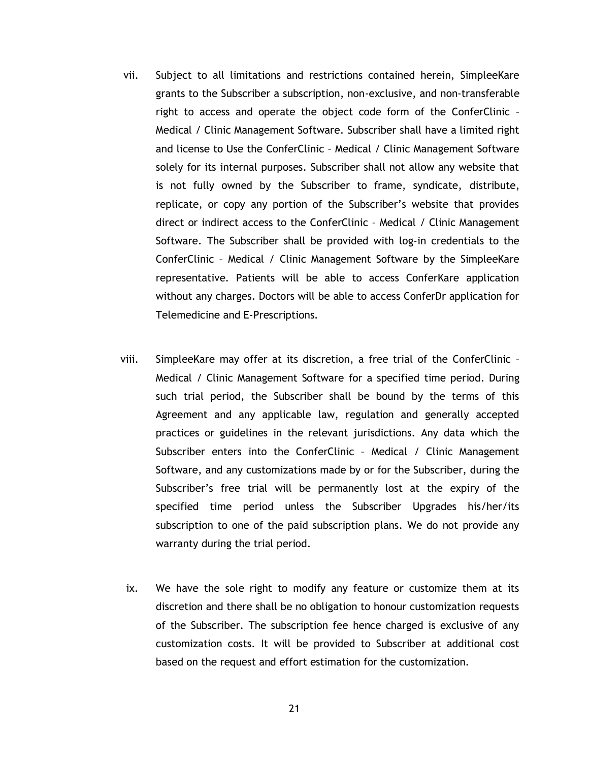- vii. Subject to all limitations and restrictions contained herein, SimpleeKare grants to the Subscriber a subscription, non-exclusive, and non-transferable right to access and operate the object code form of the ConferClinic – Medical / Clinic Management Software. Subscriber shall have a limited right and license to Use the ConferClinic – Medical / Clinic Management Software solely for its internal purposes. Subscriber shall not allow any website that is not fully owned by the Subscriber to frame, syndicate, distribute, replicate, or copy any portion of the Subscriber's website that provides direct or indirect access to the ConferClinic – Medical / Clinic Management Software. The Subscriber shall be provided with log-in credentials to the ConferClinic – Medical / Clinic Management Software by the SimpleeKare representative. Patients will be able to access ConferKare application without any charges. Doctors will be able to access ConferDr application for Telemedicine and E-Prescriptions.
- viii. SimpleeKare may offer at its discretion, a free trial of the ConferClinic Medical / Clinic Management Software for a specified time period. During such trial period, the Subscriber shall be bound by the terms of this Agreement and any applicable law, regulation and generally accepted practices or guidelines in the relevant jurisdictions. Any data which the Subscriber enters into the ConferClinic – Medical / Clinic Management Software, and any customizations made by or for the Subscriber, during the Subscriber's free trial will be permanently lost at the expiry of the specified time period unless the Subscriber Upgrades his/her/its subscription to one of the paid subscription plans. We do not provide any warranty during the trial period.
- ix. We have the sole right to modify any feature or customize them at its discretion and there shall be no obligation to honour customization requests of the Subscriber. The subscription fee hence charged is exclusive of any customization costs. It will be provided to Subscriber at additional cost based on the request and effort estimation for the customization.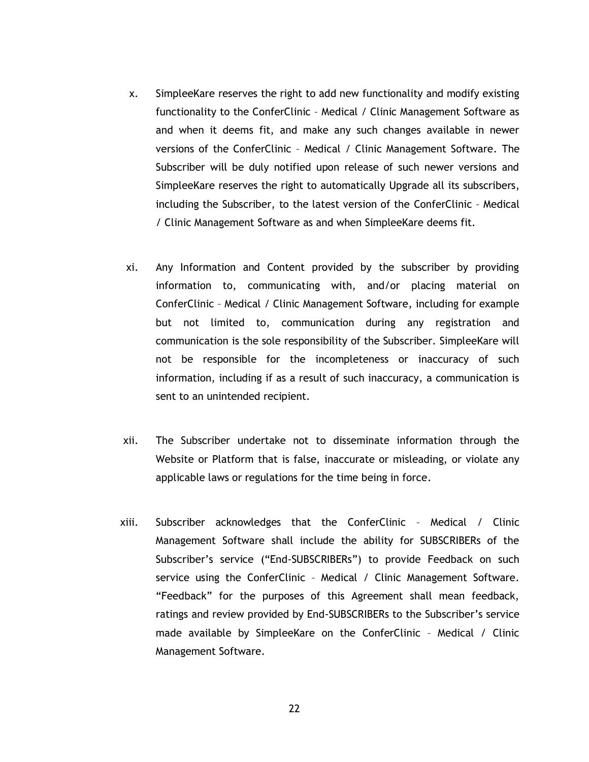- x. SimpleeKare reserves the right to add new functionality and modify existing functionality to the ConferClinic – Medical / Clinic Management Software as and when it deems fit, and make any such changes available in newer versions of the ConferClinic – Medical / Clinic Management Software. The Subscriber will be duly notified upon release of such newer versions and SimpleeKare reserves the right to automatically Upgrade all its subscribers, including the Subscriber, to the latest version of the ConferClinic – Medical / Clinic Management Software as and when SimpleeKare deems fit.
- xi. Any Information and Content provided by the subscriber by providing information to, communicating with, and/or placing material on ConferClinic – Medical / Clinic Management Software, including for example but not limited to, communication during any registration and communication is the sole responsibility of the Subscriber. SimpleeKare will not be responsible for the incompleteness or inaccuracy of such information, including if as a result of such inaccuracy, a communication is sent to an unintended recipient.
- xii. The Subscriber undertake not to disseminate information through the Website or Platform that is false, inaccurate or misleading, or violate any applicable laws or regulations for the time being in force.
- xiii. Subscriber acknowledges that the ConferClinic Medical / Clinic Management Software shall include the ability for SUBSCRIBERs of the Subscriber's service ("End-SUBSCRIBERs") to provide Feedback on such service using the ConferClinic - Medical / Clinic Management Software. "Feedback" for the purposes of this Agreement shall mean feedback, ratings and review provided by End-SUBSCRIBERs to the Subscriber's service made available by SimpleeKare on the ConferClinic – Medical / Clinic Management Software.

22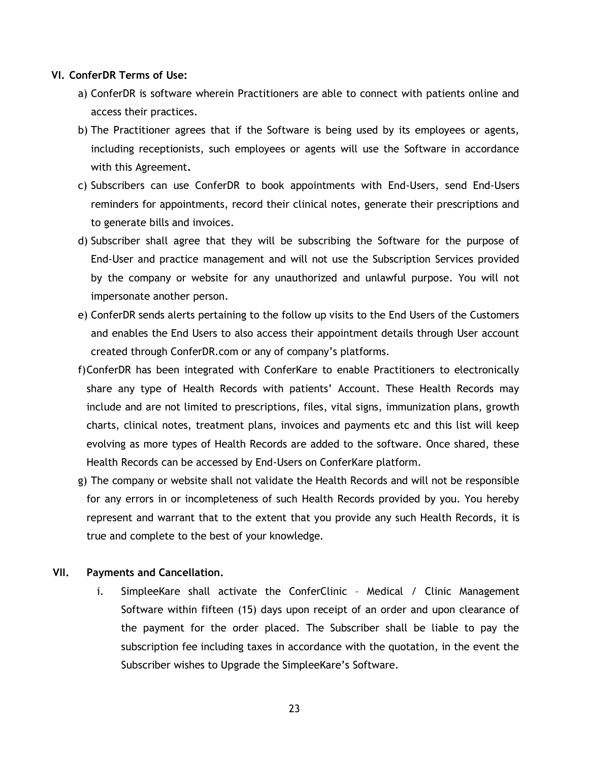### **VI. ConferDR Terms of Use:**

- a) ConferDR is software wherein Practitioners are able to connect with patients online and access their practices.
- b) The Practitioner agrees that if the Software is being used by its employees or agents, including receptionists, such employees or agents will use the Software in accordance with this Agreement**.**
- c) Subscribers can use ConferDR to book appointments with End-Users, send End-Users reminders for appointments, record their clinical notes, generate their prescriptions and to generate bills and invoices.
- d) Subscriber shall agree that they will be subscribing the Software for the purpose of End-User and practice management and will not use the Subscription Services provided by the company or website for any unauthorized and unlawful purpose. You will not impersonate another person.
- e) ConferDR sends alerts pertaining to the follow up visits to the End Users of the Customers and enables the End Users to also access their appointment details through User account created through ConferDR.com or any of company's platforms.
- f)ConferDR has been integrated with ConferKare to enable Practitioners to electronically share any type of Health Records with patients' Account. These Health Records may include and are not limited to prescriptions, files, vital signs, immunization plans, growth charts, clinical notes, treatment plans, invoices and payments etc and this list will keep evolving as more types of Health Records are added to the software. Once shared, these Health Records can be accessed by End-Users on ConferKare platform.
- g) The company or website shall not validate the Health Records and will not be responsible for any errors in or incompleteness of such Health Records provided by you. You hereby represent and warrant that to the extent that you provide any such Health Records, it is true and complete to the best of your knowledge.

### **VII. Payments and Cancellation.**

i. SimpleeKare shall activate the ConferClinic – Medical / Clinic Management Software within fifteen (15) days upon receipt of an order and upon clearance of the payment for the order placed. The Subscriber shall be liable to pay the subscription fee including taxes in accordance with the quotation, in the event the Subscriber wishes to Upgrade the SimpleeKare's Software.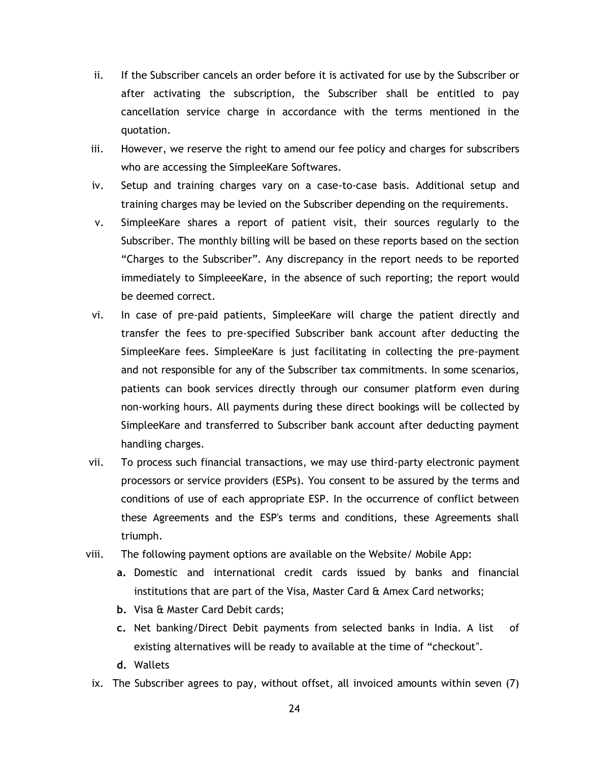- ii. If the Subscriber cancels an order before it is activated for use by the Subscriber or after activating the subscription, the Subscriber shall be entitled to pay cancellation service charge in accordance with the terms mentioned in the quotation.
- iii. However, we reserve the right to amend our fee policy and charges for subscribers who are accessing the SimpleeKare Softwares.
- iv. Setup and training charges vary on a case-to-case basis. Additional setup and training charges may be levied on the Subscriber depending on the requirements.
- v. SimpleeKare shares a report of patient visit, their sources regularly to the Subscriber. The monthly billing will be based on these reports based on the section "Charges to the Subscriber". Any discrepancy in the report needs to be reported immediately to SimpleeeKare, in the absence of such reporting; the report would be deemed correct.
- vi. In case of pre-paid patients, SimpleeKare will charge the patient directly and transfer the fees to pre-specified Subscriber bank account after deducting the SimpleeKare fees. SimpleeKare is just facilitating in collecting the pre-payment and not responsible for any of the Subscriber tax commitments. In some scenarios, patients can book services directly through our consumer platform even during non-working hours. All payments during these direct bookings will be collected by SimpleeKare and transferred to Subscriber bank account after deducting payment handling charges.
- vii. To process such financial transactions, we may use third-party electronic payment processors or service providers (ESPs). You consent to be assured by the terms and conditions of use of each appropriate ESP. In the occurrence of conflict between these Agreements and the ESP's terms and conditions, these Agreements shall triumph.
- viii. The following payment options are available on the Website/ Mobile App:
	- **a.** Domestic and international credit cards issued by banks and financial institutions that are part of the Visa, Master Card & Amex Card networks;
	- **b.** Visa & Master Card Debit cards;
	- **c.** Net banking/Direct Debit payments from selected banks in India. A list of existing alternatives will be ready to available at the time of "checkout".
	- **d.** Wallets
	- ix. The Subscriber agrees to pay, without offset, all invoiced amounts within seven (7)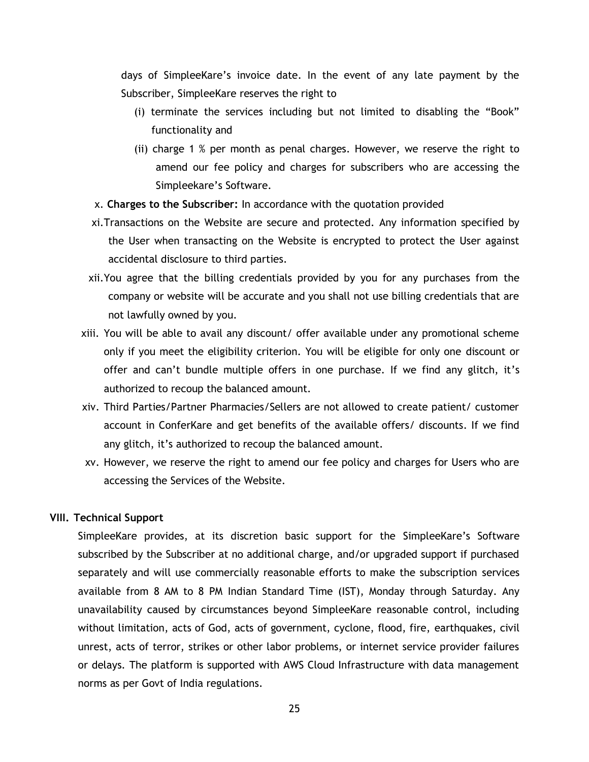days of SimpleeKare's invoice date. In the event of any late payment by the Subscriber, SimpleeKare reserves the right to

- (i) terminate the services including but not limited to disabling the "Book" functionality and
- (ii) charge 1 % per month as penal charges. However, we reserve the right to amend our fee policy and charges for subscribers who are accessing the Simpleekare's Software.
- x. **Charges to the Subscriber:** In accordance with the quotation provided
- xi.Transactions on the Website are secure and protected. Any information specified by the User when transacting on the Website is encrypted to protect the User against accidental disclosure to third parties.
- xii.You agree that the billing credentials provided by you for any purchases from the company or website will be accurate and you shall not use billing credentials that are not lawfully owned by you.
- xiii. You will be able to avail any discount/ offer available under any promotional scheme only if you meet the eligibility criterion. You will be eligible for only one discount or offer and can't bundle multiple offers in one purchase. If we find any glitch, it's authorized to recoup the balanced amount.
- xiv. Third Parties/Partner Pharmacies/Sellers are not allowed to create patient/ customer account in ConferKare and get benefits of the available offers/ discounts. If we find any glitch, it's authorized to recoup the balanced amount.
- xv. However, we reserve the right to amend our fee policy and charges for Users who are accessing the Services of the Website.

#### **VIII. Technical Support**

SimpleeKare provides, at its discretion basic support for the SimpleeKare's Software subscribed by the Subscriber at no additional charge, and/or upgraded support if purchased separately and will use commercially reasonable efforts to make the subscription services available from 8 AM to 8 PM Indian Standard Time (IST), Monday through Saturday. Any unavailability caused by circumstances beyond SimpleeKare reasonable control, including without limitation, acts of God, acts of government, cyclone, flood, fire, earthquakes, civil unrest, acts of terror, strikes or other labor problems, or internet service provider failures or delays. The platform is supported with AWS Cloud Infrastructure with data management norms as per Govt of India regulations.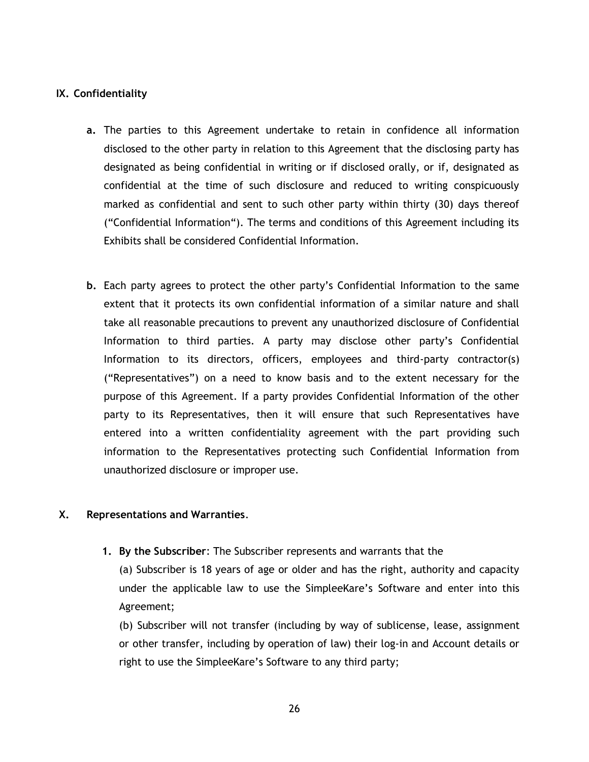# **IX. Confidentiality**

- **a.** The parties to this Agreement undertake to retain in confidence all information disclosed to the other party in relation to this Agreement that the disclosing party has designated as being confidential in writing or if disclosed orally, or if, designated as confidential at the time of such disclosure and reduced to writing conspicuously marked as confidential and sent to such other party within thirty (30) days thereof ("Confidential Information"). The terms and conditions of this Agreement including its Exhibits shall be considered Confidential Information.
- **b.** Each party agrees to protect the other party's Confidential Information to the same extent that it protects its own confidential information of a similar nature and shall take all reasonable precautions to prevent any unauthorized disclosure of Confidential Information to third parties. A party may disclose other party's Confidential Information to its directors, officers, employees and third-party contractor(s) ("Representatives") on a need to know basis and to the extent necessary for the purpose of this Agreement. If a party provides Confidential Information of the other party to its Representatives, then it will ensure that such Representatives have entered into a written confidentiality agreement with the part providing such information to the Representatives protecting such Confidential Information from unauthorized disclosure or improper use.

# **X. Representations and Warranties**.

**1. By the Subscriber**: The Subscriber represents and warrants that the

(a) Subscriber is 18 years of age or older and has the right, authority and capacity under the applicable law to use the SimpleeKare's Software and enter into this Agreement;

(b) Subscriber will not transfer (including by way of sublicense, lease, assignment or other transfer, including by operation of law) their log-in and Account details or right to use the SimpleeKare's Software to any third party;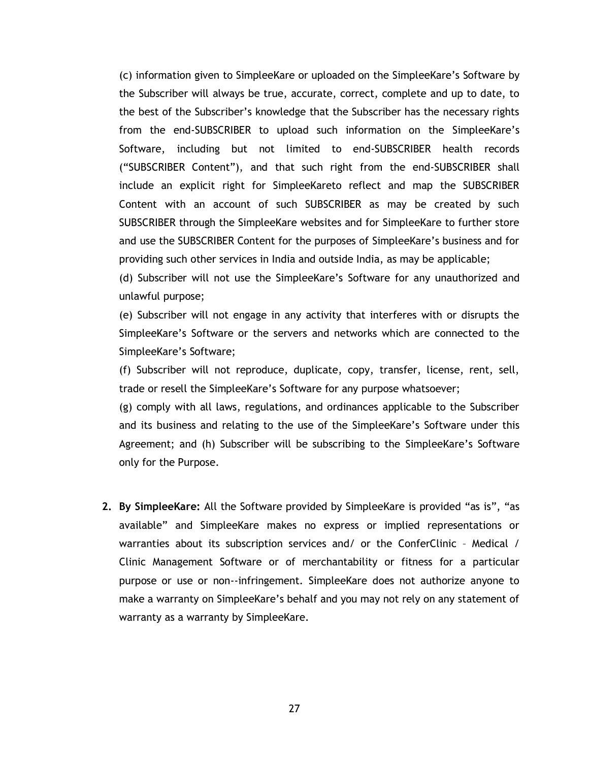(c) information given to SimpleeKare or uploaded on the SimpleeKare's Software by the Subscriber will always be true, accurate, correct, complete and up to date, to the best of the Subscriber's knowledge that the Subscriber has the necessary rights from the end-SUBSCRIBER to upload such information on the SimpleeKare's Software, including but not limited to end-SUBSCRIBER health records ("SUBSCRIBER Content"), and that such right from the end-SUBSCRIBER shall include an explicit right for SimpleeKareto reflect and map the SUBSCRIBER Content with an account of such SUBSCRIBER as may be created by such SUBSCRIBER through the SimpleeKare websites and for SimpleeKare to further store and use the SUBSCRIBER Content for the purposes of SimpleeKare's business and for providing such other services in India and outside India, as may be applicable;

(d) Subscriber will not use the SimpleeKare's Software for any unauthorized and unlawful purpose;

(e) Subscriber will not engage in any activity that interferes with or disrupts the SimpleeKare's Software or the servers and networks which are connected to the SimpleeKare's Software;

(f) Subscriber will not reproduce, duplicate, copy, transfer, license, rent, sell, trade or resell the SimpleeKare's Software for any purpose whatsoever;

(g) comply with all laws, regulations, and ordinances applicable to the Subscriber and its business and relating to the use of the SimpleeKare's Software under this Agreement; and (h) Subscriber will be subscribing to the SimpleeKare's Software only for the Purpose.

**2. By SimpleeKare:** All the Software provided by SimpleeKare is provided "as is", "as available" and SimpleeKare makes no express or implied representations or warranties about its subscription services and/ or the ConferClinic – Medical / Clinic Management Software or of merchantability or fitness for a particular purpose or use or non--infringement. SimpleeKare does not authorize anyone to make a warranty on SimpleeKare's behalf and you may not rely on any statement of warranty as a warranty by SimpleeKare.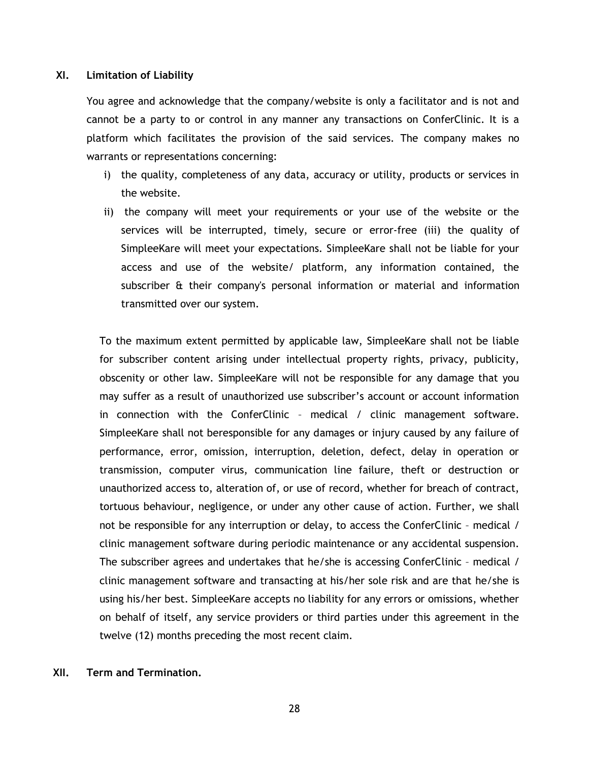### **XI. Limitation of Liability**

You agree and acknowledge that the company/website is only a facilitator and is not and cannot be a party to or control in any manner any transactions on ConferClinic. It is a platform which facilitates the provision of the said services. The company makes no warrants or representations concerning:

- i) the quality, completeness of any data, accuracy or utility, products or services in the website.
- ii) the company will meet your requirements or your use of the website or the services will be interrupted, timely, secure or error-free (iii) the quality of SimpleeKare will meet your expectations. SimpleeKare shall not be liable for your access and use of the website/ platform, any information contained, the subscriber & their company's personal information or material and information transmitted over our system.

To the maximum extent permitted by applicable law, SimpleeKare shall not be liable for subscriber content arising under intellectual property rights, privacy, publicity, obscenity or other law. SimpleeKare will not be responsible for any damage that you may suffer as a result of unauthorized use subscriber's account or account information in connection with the ConferClinic – medical / clinic management software. SimpleeKare shall not beresponsible for any damages or injury caused by any failure of performance, error, omission, interruption, deletion, defect, delay in operation or transmission, computer virus, communication line failure, theft or destruction or unauthorized access to, alteration of, or use of record, whether for breach of contract, tortuous behaviour, negligence, or under any other cause of action. Further, we shall not be responsible for any interruption or delay, to access the ConferClinic – medical / clinic management software during periodic maintenance or any accidental suspension. The subscriber agrees and undertakes that he/she is accessing ConferClinic – medical / clinic management software and transacting at his/her sole risk and are that he/she is using his/her best. SimpleeKare accepts no liability for any errors or omissions, whether on behalf of itself, any service providers or third parties under this agreement in the twelve (12) months preceding the most recent claim.

# **XII. Term and Termination.**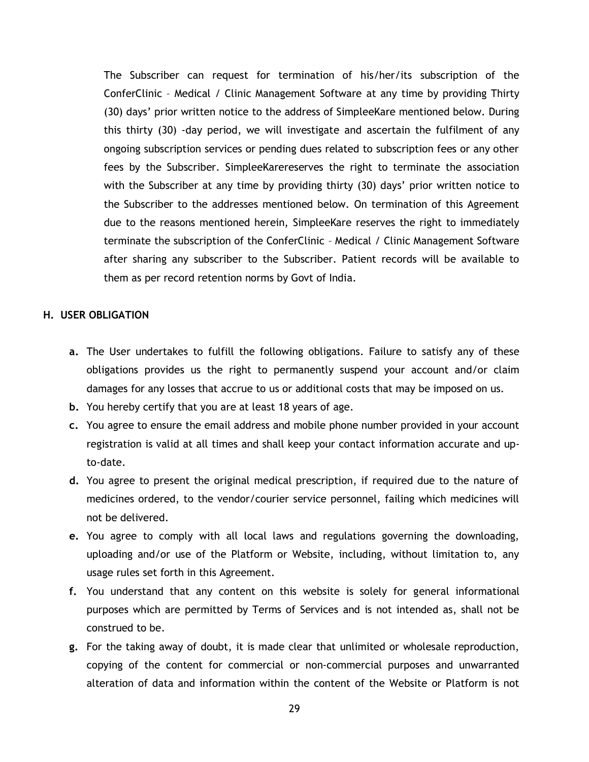The Subscriber can request for termination of his/her/its subscription of the ConferClinic – Medical / Clinic Management Software at any time by providing Thirty (30) days' prior written notice to the address of SimpleeKare mentioned below. During this thirty (30) -day period, we will investigate and ascertain the fulfilment of any ongoing subscription services or pending dues related to subscription fees or any other fees by the Subscriber. SimpleeKarereserves the right to terminate the association with the Subscriber at any time by providing thirty (30) days' prior written notice to the Subscriber to the addresses mentioned below. On termination of this Agreement due to the reasons mentioned herein, SimpleeKare reserves the right to immediately terminate the subscription of the ConferClinic – Medical / Clinic Management Software after sharing any subscriber to the Subscriber. Patient records will be available to them as per record retention norms by Govt of India.

# **H. USER OBLIGATION**

- **a.** The User undertakes to fulfill the following obligations. Failure to satisfy any of these obligations provides us the right to permanently suspend your account and/or claim damages for any losses that accrue to us or additional costs that may be imposed on us.
- **b.** You hereby certify that you are at least 18 years of age.
- **c.** You agree to ensure the email address and mobile phone number provided in your account registration is valid at all times and shall keep your contact information accurate and upto-date.
- **d.** You agree to present the original medical prescription, if required due to the nature of medicines ordered, to the vendor/courier service personnel, failing which medicines will not be delivered.
- **e.** You agree to comply with all local laws and regulations governing the downloading, uploading and/or use of the Platform or Website, including, without limitation to, any usage rules set forth in this Agreement.
- **f.** You understand that any content on this website is solely for general informational purposes which are permitted by Terms of Services and is not intended as, shall not be construed to be.
- **g.** For the taking away of doubt, it is made clear that unlimited or wholesale reproduction, copying of the content for commercial or non-commercial purposes and unwarranted alteration of data and information within the content of the Website or Platform is not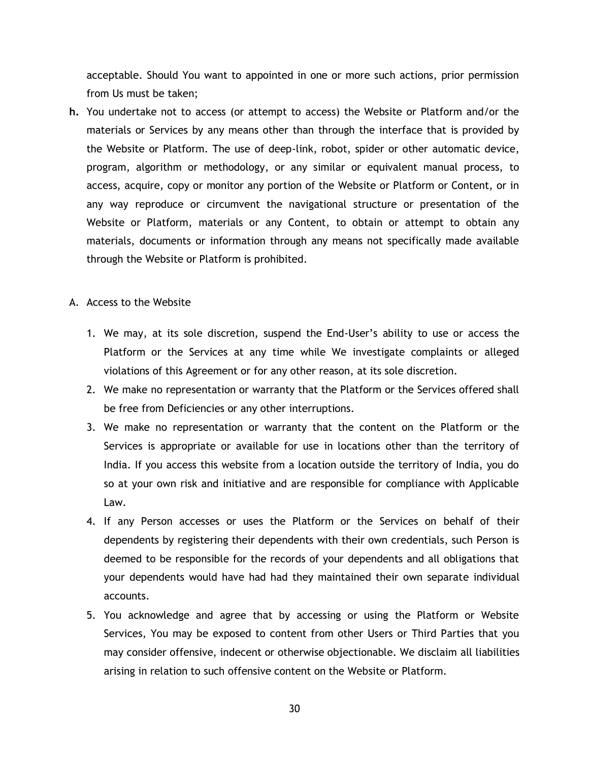acceptable. Should You want to appointed in one or more such actions, prior permission from Us must be taken;

- **h.** You undertake not to access (or attempt to access) the Website or Platform and/or the materials or Services by any means other than through the interface that is provided by the Website or Platform. The use of deep-link, robot, spider or other automatic device, program, algorithm or methodology, or any similar or equivalent manual process, to access, acquire, copy or monitor any portion of the Website or Platform or Content, or in any way reproduce or circumvent the navigational structure or presentation of the Website or Platform, materials or any Content, to obtain or attempt to obtain any materials, documents or information through any means not specifically made available through the Website or Platform is prohibited.
- A. Access to the Website
	- 1. We may, at its sole discretion, suspend the End-User's ability to use or access the Platform or the Services at any time while We investigate complaints or alleged violations of this Agreement or for any other reason, at its sole discretion.
	- 2. We make no representation or warranty that the Platform or the Services offered shall be free from Deficiencies or any other interruptions.
	- 3. We make no representation or warranty that the content on the Platform or the Services is appropriate or available for use in locations other than the territory of India. If you access this website from a location outside the territory of India, you do so at your own risk and initiative and are responsible for compliance with Applicable Law.
	- 4. If any Person accesses or uses the Platform or the Services on behalf of their dependents by registering their dependents with their own credentials, such Person is deemed to be responsible for the records of your dependents and all obligations that your dependents would have had had they maintained their own separate individual accounts.
	- 5. You acknowledge and agree that by accessing or using the Platform or Website Services, You may be exposed to content from other Users or Third Parties that you may consider offensive, indecent or otherwise objectionable. We disclaim all liabilities arising in relation to such offensive content on the Website or Platform.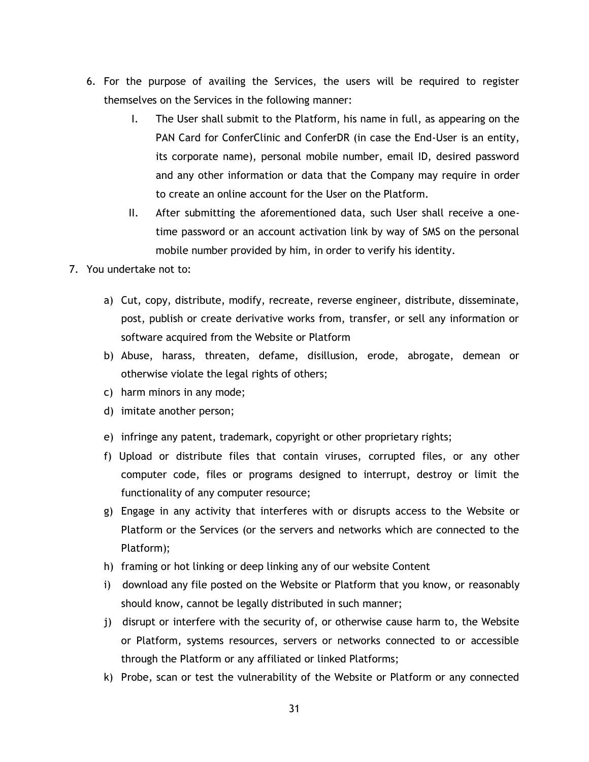- 6. For the purpose of availing the Services, the users will be required to register themselves on the Services in the following manner:
	- I. The User shall submit to the Platform, his name in full, as appearing on the PAN Card for ConferClinic and ConferDR (in case the End-User is an entity, its corporate name), personal mobile number, email ID, desired password and any other information or data that the Company may require in order to create an online account for the User on the Platform.
	- II. After submitting the aforementioned data, such User shall receive a onetime password or an account activation link by way of SMS on the personal mobile number provided by him, in order to verify his identity.
- 7. You undertake not to:
	- a) Cut, copy, distribute, modify, recreate, reverse engineer, distribute, disseminate, post, publish or create derivative works from, transfer, or sell any information or software acquired from the Website or Platform
	- b) Abuse, harass, threaten, defame, disillusion, erode, abrogate, demean or otherwise violate the legal rights of others;
	- c) harm minors in any mode;
	- d) imitate another person;
	- e) infringe any patent, trademark, copyright or other proprietary rights;
	- f) Upload or distribute files that contain viruses, corrupted files, or any other computer code, files or programs designed to interrupt, destroy or limit the functionality of any computer resource;
	- g) Engage in any activity that interferes with or disrupts access to the Website or Platform or the Services (or the servers and networks which are connected to the Platform);
	- h) framing or hot linking or deep linking any of our website Content
	- i) download any file posted on the Website or Platform that you know, or reasonably should know, cannot be legally distributed in such manner;
	- j) disrupt or interfere with the security of, or otherwise cause harm to, the Website or Platform, systems resources, servers or networks connected to or accessible through the Platform or any affiliated or linked Platforms;
	- k) Probe, scan or test the vulnerability of the Website or Platform or any connected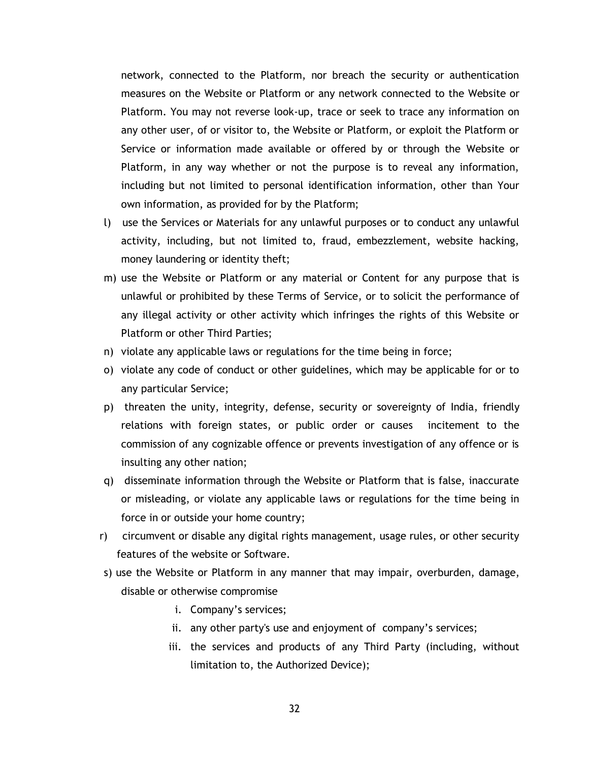network, connected to the Platform, nor breach the security or authentication measures on the Website or Platform or any network connected to the Website or Platform. You may not reverse look-up, trace or seek to trace any information on any other user, of or visitor to, the Website or Platform, or exploit the Platform or Service or information made available or offered by or through the Website or Platform, in any way whether or not the purpose is to reveal any information, including but not limited to personal identification information, other than Your own information, as provided for by the Platform;

- l) use the Services or Materials for any unlawful purposes or to conduct any unlawful activity, including, but not limited to, fraud, embezzlement, website hacking, money laundering or identity theft;
- m) use the Website or Platform or any material or Content for any purpose that is unlawful or prohibited by these Terms of Service, or to solicit the performance of any illegal activity or other activity which infringes the rights of this Website or Platform or other Third Parties;
- n) violate any applicable laws or regulations for the time being in force;
- o) violate any code of conduct or other guidelines, which may be applicable for or to any particular Service;
- p) threaten the unity, integrity, defense, security or sovereignty of India, friendly relations with foreign states, or public order or causes incitement to the commission of any cognizable offence or prevents investigation of any offence or is insulting any other nation;
- q) disseminate information through the Website or Platform that is false, inaccurate or misleading, or violate any applicable laws or regulations for the time being in force in or outside your home country;
- r) circumvent or disable any digital rights management, usage rules, or other security features of the website or Software.
- s) use the Website or Platform in any manner that may impair, overburden, damage, disable or otherwise compromise
	- i. Company's services;
	- ii. any other party's use and enjoyment of company's services;
	- iii. the services and products of any Third Party (including, without limitation to, the Authorized Device);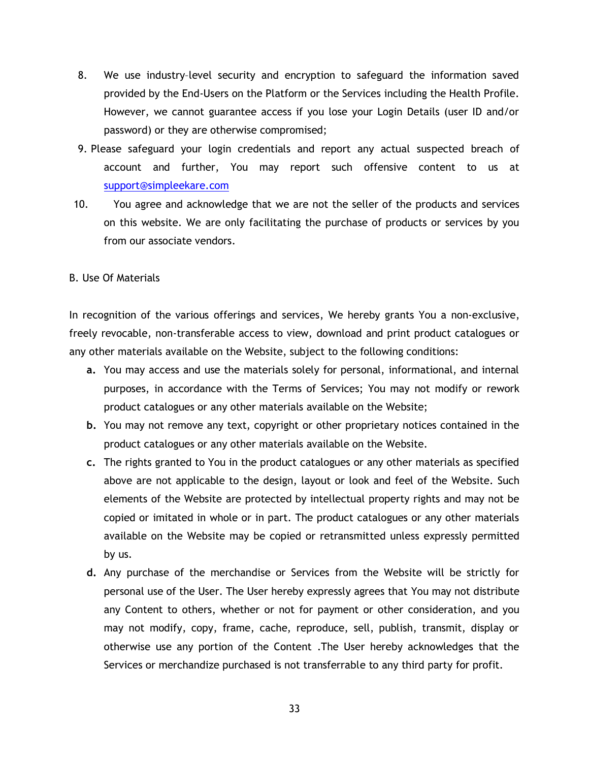- 8. We use industry–level security and encryption to safeguard the information saved provided by the End-Users on the Platform or the Services including the Health Profile. However, we cannot guarantee access if you lose your Login Details (user ID and/or password) or they are otherwise compromised;
- 9. Please safeguard your login credentials and report any actual suspected breach of account and further, You may report such offensive content to us at [support@simpleekare.com](mailto:support@simpleekare.com)
- 10. You agree and acknowledge that we are not the seller of the products and services on this website. We are only facilitating the purchase of products or services by you from our associate vendors.

### B. Use Of Materials

In recognition of the various offerings and services, We hereby grants You a non-exclusive, freely revocable, non-transferable access to view, download and print product catalogues or any other materials available on the Website, subject to the following conditions:

- **a.** You may access and use the materials solely for personal, informational, and internal purposes, in accordance with the Terms of Services; You may not modify or rework product catalogues or any other materials available on the Website;
- **b.** You may not remove any text, copyright or other proprietary notices contained in the product catalogues or any other materials available on the Website.
- **c.** The rights granted to You in the product catalogues or any other materials as specified above are not applicable to the design, layout or look and feel of the Website. Such elements of the Website are protected by intellectual property rights and may not be copied or imitated in whole or in part. The product catalogues or any other materials available on the Website may be copied or retransmitted unless expressly permitted by us.
- **d.** Any purchase of the merchandise or Services from the Website will be strictly for personal use of the User. The User hereby expressly agrees that You may not distribute any Content to others, whether or not for payment or other consideration, and you may not modify, copy, frame, cache, reproduce, sell, publish, transmit, display or otherwise use any portion of the Content .The User hereby acknowledges that the Services or merchandize purchased is not transferrable to any third party for profit.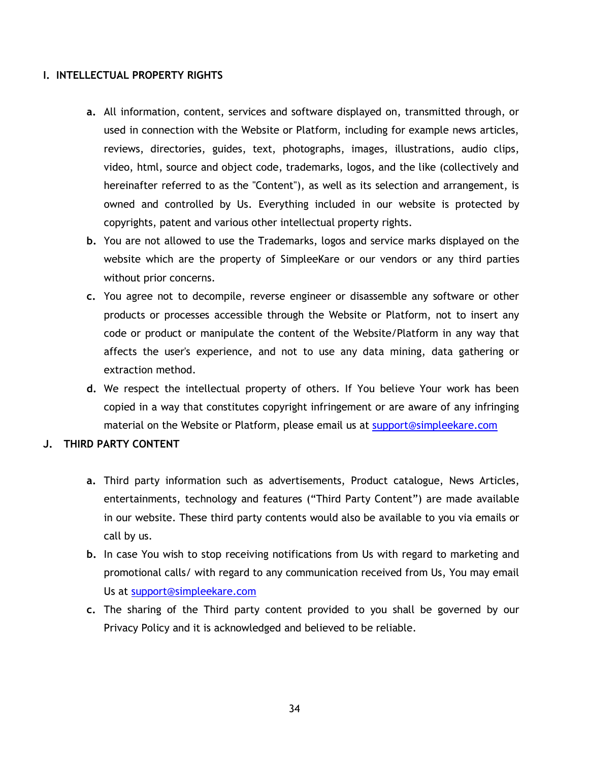# **I. INTELLECTUAL PROPERTY RIGHTS**

- **a.** All information, content, services and software displayed on, transmitted through, or used in connection with the Website or Platform, including for example news articles, reviews, directories, guides, text, photographs, images, illustrations, audio clips, video, html, source and object code, trademarks, logos, and the like (collectively and hereinafter referred to as the "Content"), as well as its selection and arrangement, is owned and controlled by Us. Everything included in our website is protected by copyrights, patent and various other intellectual property rights.
- **b.** You are not allowed to use the Trademarks, logos and service marks displayed on the website which are the property of SimpleeKare or our vendors or any third parties without prior concerns.
- **c.** You agree not to decompile, reverse engineer or disassemble any software or other products or processes accessible through the Website or Platform, not to insert any code or product or manipulate the content of the Website/Platform in any way that affects the user's experience, and not to use any data mining, data gathering or extraction method.
- **d.** We respect the intellectual property of others. If You believe Your work has been copied in a way that constitutes copyright infringement or are aware of any infringing material on the Website or Platform, please email us at [support@simpleekare.com](mailto:healthy@simpleekare.com)

# **J. THIRD PARTY CONTENT**

- **a.** Third party information such as advertisements, Product catalogue, News Articles, entertainments, technology and features ("Third Party Content") are made available in our website. These third party contents would also be available to you via emails or call by us.
- **b.** In case You wish to stop receiving notifications from Us with regard to marketing and promotional calls/ with regard to any communication received from Us, You may email Us at [support@simpleekare.com](mailto:healthy@simpleekare.com)
- **c.** The sharing of the Third party content provided to you shall be governed by our Privacy Policy and it is acknowledged and believed to be reliable.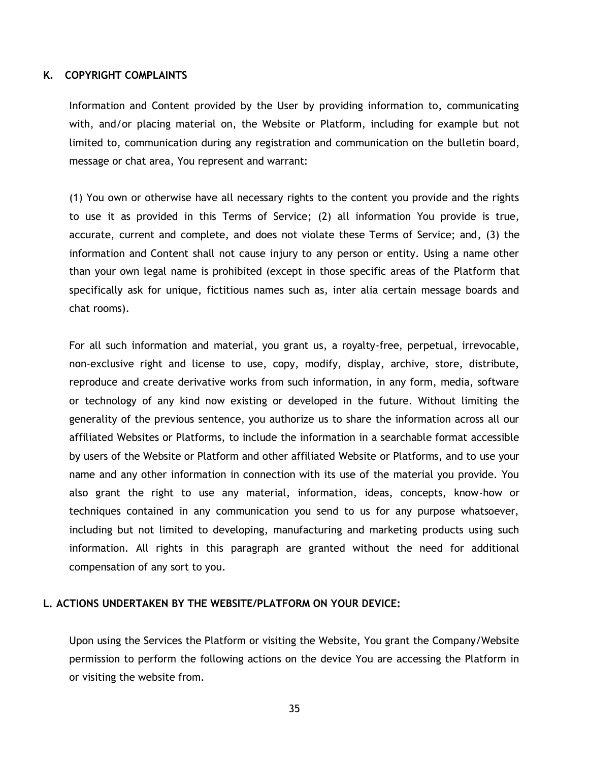### **K. COPYRIGHT COMPLAINTS**

Information and Content provided by the User by providing information to, communicating with, and/or placing material on, the Website or Platform, including for example but not limited to, communication during any registration and communication on the bulletin board, message or chat area, You represent and warrant:

(1) You own or otherwise have all necessary rights to the content you provide and the rights to use it as provided in this Terms of Service; (2) all information You provide is true, accurate, current and complete, and does not violate these Terms of Service; and, (3) the information and Content shall not cause injury to any person or entity. Using a name other than your own legal name is prohibited (except in those specific areas of the Platform that specifically ask for unique, fictitious names such as, inter alia certain message boards and chat rooms).

For all such information and material, you grant us, a royalty-free, perpetual, irrevocable, non-exclusive right and license to use, copy, modify, display, archive, store, distribute, reproduce and create derivative works from such information, in any form, media, software or technology of any kind now existing or developed in the future. Without limiting the generality of the previous sentence, you authorize us to share the information across all our affiliated Websites or Platforms, to include the information in a searchable format accessible by users of the Website or Platform and other affiliated Website or Platforms, and to use your name and any other information in connection with its use of the material you provide. You also grant the right to use any material, information, ideas, concepts, know-how or techniques contained in any communication you send to us for any purpose whatsoever, including but not limited to developing, manufacturing and marketing products using such information. All rights in this paragraph are granted without the need for additional compensation of any sort to you.

### **L. ACTIONS UNDERTAKEN BY THE WEBSITE/PLATFORM ON YOUR DEVICE:**

Upon using the Services the Platform or visiting the Website, You grant the Company/Website permission to perform the following actions on the device You are accessing the Platform in or visiting the website from.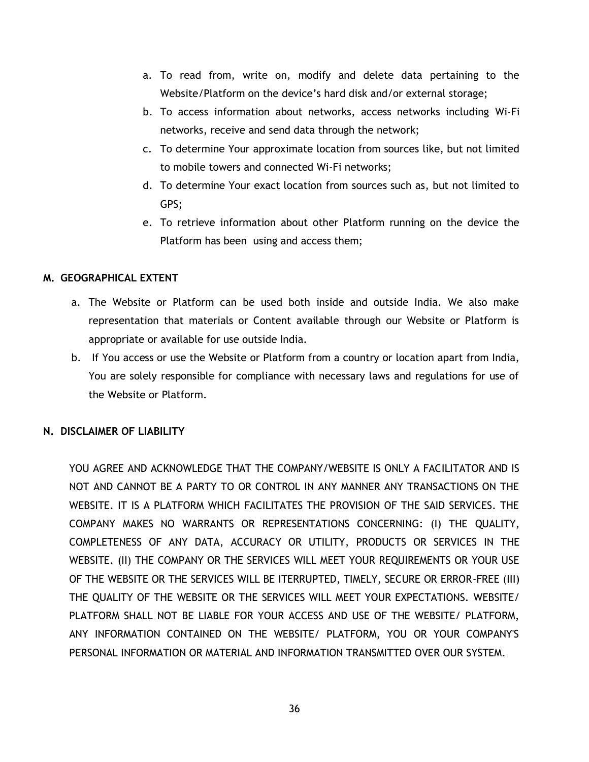- a. To read from, write on, modify and delete data pertaining to the Website/Platform on the device's hard disk and/or external storage;
- b. To access information about networks, access networks including Wi-Fi networks, receive and send data through the network;
- c. To determine Your approximate location from sources like, but not limited to mobile towers and connected Wi-Fi networks;
- d. To determine Your exact location from sources such as, but not limited to GPS;
- e. To retrieve information about other Platform running on the device the Platform has been using and access them;

# **M. GEOGRAPHICAL EXTENT**

- a. The Website or Platform can be used both inside and outside India. We also make representation that materials or Content available through our Website or Platform is appropriate or available for use outside India.
- b. If You access or use the Website or Platform from a country or location apart from India, You are solely responsible for compliance with necessary laws and regulations for use of the Website or Platform.

# **N. DISCLAIMER OF LIABILITY**

YOU AGREE AND ACKNOWLEDGE THAT THE COMPANY/WEBSITE IS ONLY A FACILITATOR AND IS NOT AND CANNOT BE A PARTY TO OR CONTROL IN ANY MANNER ANY TRANSACTIONS ON THE WEBSITE. IT IS A PLATFORM WHICH FACILITATES THE PROVISION OF THE SAID SERVICES. THE COMPANY MAKES NO WARRANTS OR REPRESENTATIONS CONCERNING: (I) THE QUALITY, COMPLETENESS OF ANY DATA, ACCURACY OR UTILITY, PRODUCTS OR SERVICES IN THE WEBSITE. (II) THE COMPANY OR THE SERVICES WILL MEET YOUR REQUIREMENTS OR YOUR USE OF THE WEBSITE OR THE SERVICES WILL BE ITERRUPTED, TIMELY, SECURE OR ERROR-FREE (III) THE QUALITY OF THE WEBSITE OR THE SERVICES WILL MEET YOUR EXPECTATIONS. WEBSITE/ PLATFORM SHALL NOT BE LIABLE FOR YOUR ACCESS AND USE OF THE WEBSITE/ PLATFORM, ANY INFORMATION CONTAINED ON THE WEBSITE/ PLATFORM, YOU OR YOUR COMPANY'S PERSONAL INFORMATION OR MATERIAL AND INFORMATION TRANSMITTED OVER OUR SYSTEM.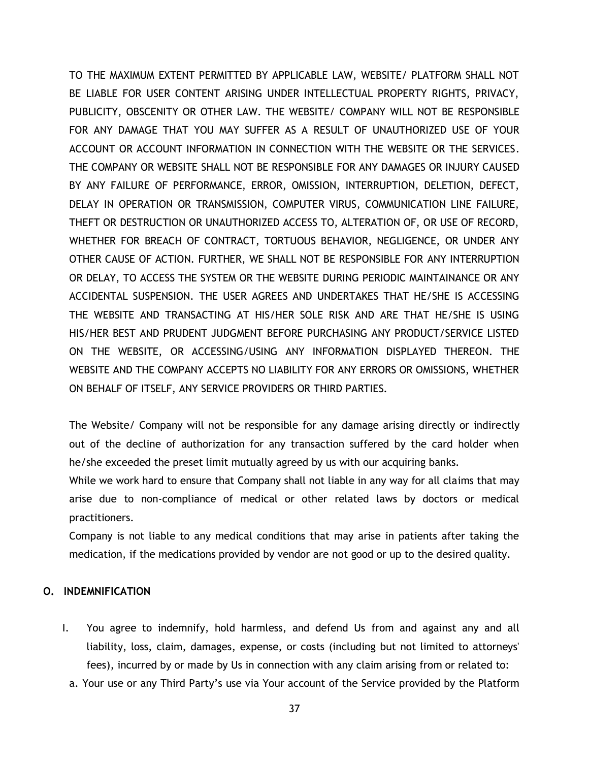TO THE MAXIMUM EXTENT PERMITTED BY APPLICABLE LAW, WEBSITE/ PLATFORM SHALL NOT BE LIABLE FOR USER CONTENT ARISING UNDER INTELLECTUAL PROPERTY RIGHTS, PRIVACY, PUBLICITY, OBSCENITY OR OTHER LAW. THE WEBSITE/ COMPANY WILL NOT BE RESPONSIBLE FOR ANY DAMAGE THAT YOU MAY SUFFER AS A RESULT OF UNAUTHORIZED USE OF YOUR ACCOUNT OR ACCOUNT INFORMATION IN CONNECTION WITH THE WEBSITE OR THE SERVICES. THE COMPANY OR WEBSITE SHALL NOT BE RESPONSIBLE FOR ANY DAMAGES OR INJURY CAUSED BY ANY FAILURE OF PERFORMANCE, ERROR, OMISSION, INTERRUPTION, DELETION, DEFECT, DELAY IN OPERATION OR TRANSMISSION, COMPUTER VIRUS, COMMUNICATION LINE FAILURE, THEFT OR DESTRUCTION OR UNAUTHORIZED ACCESS TO, ALTERATION OF, OR USE OF RECORD, WHETHER FOR BREACH OF CONTRACT, TORTUOUS BEHAVIOR, NEGLIGENCE, OR UNDER ANY OTHER CAUSE OF ACTION. FURTHER, WE SHALL NOT BE RESPONSIBLE FOR ANY INTERRUPTION OR DELAY, TO ACCESS THE SYSTEM OR THE WEBSITE DURING PERIODIC MAINTAINANCE OR ANY ACCIDENTAL SUSPENSION. THE USER AGREES AND UNDERTAKES THAT HE/SHE IS ACCESSING THE WEBSITE AND TRANSACTING AT HIS/HER SOLE RISK AND ARE THAT HE/SHE IS USING HIS/HER BEST AND PRUDENT JUDGMENT BEFORE PURCHASING ANY PRODUCT/SERVICE LISTED ON THE WEBSITE, OR ACCESSING/USING ANY INFORMATION DISPLAYED THEREON. THE WEBSITE AND THE COMPANY ACCEPTS NO LIABILITY FOR ANY ERRORS OR OMISSIONS, WHETHER ON BEHALF OF ITSELF, ANY SERVICE PROVIDERS OR THIRD PARTIES.

The Website/ Company will not be responsible for any damage arising directly or indirectly out of the decline of authorization for any transaction suffered by the card holder when he/she exceeded the preset limit mutually agreed by us with our acquiring banks.

While we work hard to ensure that Company shall not liable in any way for all claims that may arise due to non-compliance of medical or other related laws by doctors or medical practitioners.

Company is not liable to any medical conditions that may arise in patients after taking the medication, if the medications provided by vendor are not good or up to the desired quality.

# **O. INDEMNIFICATION**

- I. You agree to indemnify, hold harmless, and defend Us from and against any and all liability, loss, claim, damages, expense, or costs (including but not limited to attorneys' fees), incurred by or made by Us in connection with any claim arising from or related to:
	- a. Your use or any Third Party's use via Your account of the Service provided by the Platform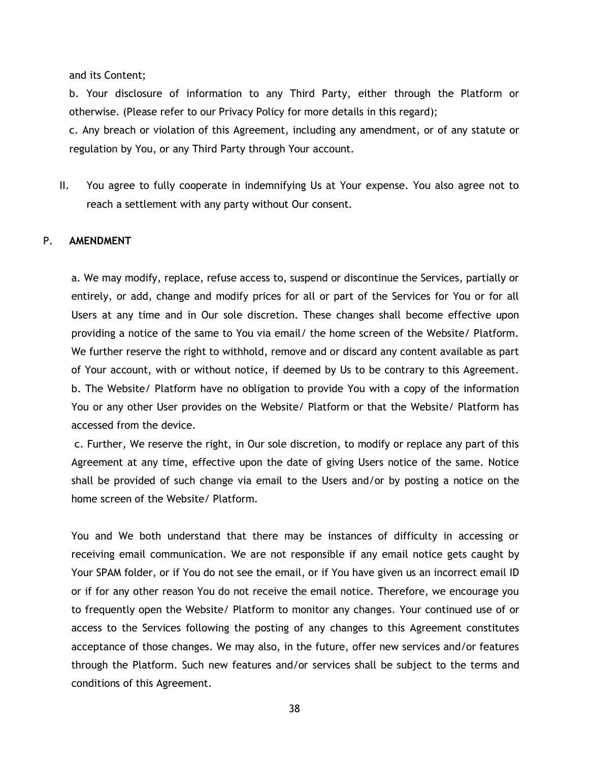and its Content;

b. Your disclosure of information to any Third Party, either through the Platform or otherwise. (Please refer to our Privacy Policy for more details in this regard);

c. Any breach or violation of this Agreement, including any amendment, or of any statute or regulation by You, or any Third Party through Your account.

II. You agree to fully cooperate in indemnifying Us at Your expense. You also agree not to reach a settlement with any party without Our consent.

### P. **AMENDMENT**

a. We may modify, replace, refuse access to, suspend or discontinue the Services, partially or entirely, or add, change and modify prices for all or part of the Services for You or for all Users at any time and in Our sole discretion. These changes shall become effective upon providing a notice of the same to You via email/ the home screen of the Website/ Platform. We further reserve the right to withhold, remove and or discard any content available as part of Your account, with or without notice, if deemed by Us to be contrary to this Agreement. b. The Website/ Platform have no obligation to provide You with a copy of the information You or any other User provides on the Website/ Platform or that the Website/ Platform has accessed from the device.

c. Further, We reserve the right, in Our sole discretion, to modify or replace any part of this Agreement at any time, effective upon the date of giving Users notice of the same. Notice shall be provided of such change via email to the Users and/or by posting a notice on the home screen of the Website/ Platform.

You and We both understand that there may be instances of difficulty in accessing or receiving email communication. We are not responsible if any email notice gets caught by Your SPAM folder, or if You do not see the email, or if You have given us an incorrect email ID or if for any other reason You do not receive the email notice. Therefore, we encourage you to frequently open the Website/ Platform to monitor any changes. Your continued use of or access to the Services following the posting of any changes to this Agreement constitutes acceptance of those changes. We may also, in the future, offer new services and/or features through the Platform. Such new features and/or services shall be subject to the terms and conditions of this Agreement.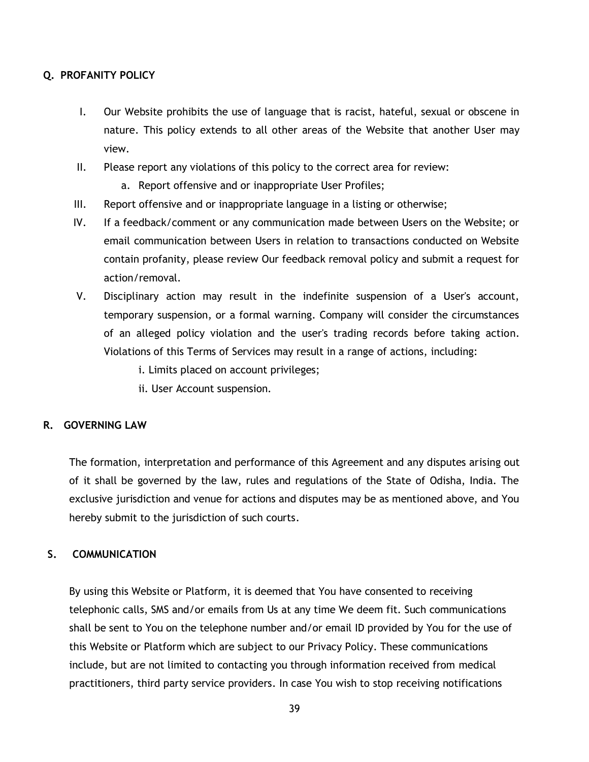# **Q. PROFANITY POLICY**

- I. Our Website prohibits the use of language that is racist, hateful, sexual or obscene in nature. This policy extends to all other areas of the Website that another User may view.
- II. Please report any violations of this policy to the correct area for review:
	- a. Report offensive and or inappropriate User Profiles;
- III. Report offensive and or inappropriate language in a listing or otherwise;
- IV. If a feedback/comment or any communication made between Users on the Website; or email communication between Users in relation to transactions conducted on Website contain profanity, please review Our feedback removal policy and submit a request for action/removal.
- V. Disciplinary action may result in the indefinite suspension of a User's account, temporary suspension, or a formal warning. Company will consider the circumstances of an alleged policy violation and the user's trading records before taking action. Violations of this Terms of Services may result in a range of actions, including:
	- i. Limits placed on account privileges;
	- ii. User Account suspension.

# **R. GOVERNING LAW**

The formation, interpretation and performance of this Agreement and any disputes arising out of it shall be governed by the law, rules and regulations of the State of Odisha, India. The exclusive jurisdiction and venue for actions and disputes may be as mentioned above, and You hereby submit to the jurisdiction of such courts.

# **S. COMMUNICATION**

By using this Website or Platform, it is deemed that You have consented to receiving telephonic calls, SMS and/or emails from Us at any time We deem fit. Such communications shall be sent to You on the telephone number and/or email ID provided by You for the use of this Website or Platform which are subject to our Privacy Policy. These communications include, but are not limited to contacting you through information received from medical practitioners, third party service providers. In case You wish to stop receiving notifications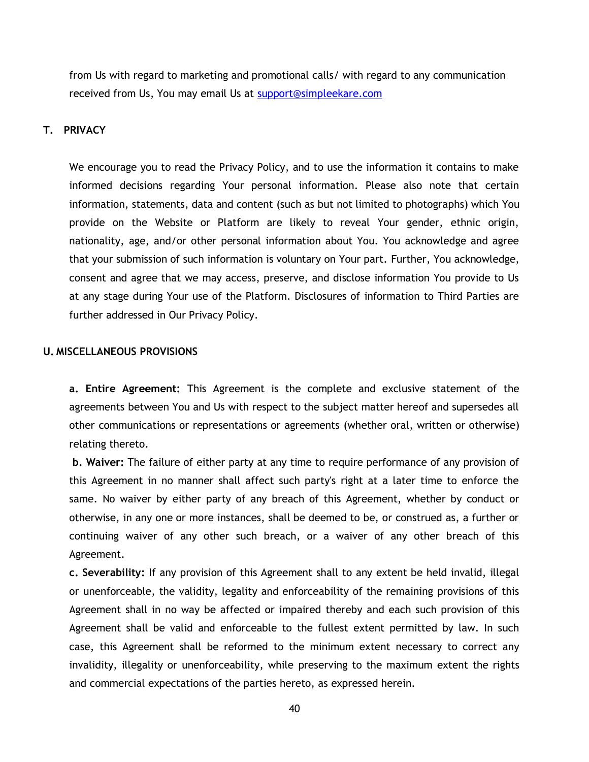from Us with regard to marketing and promotional calls/ with regard to any communication received from Us, You may email Us at [support@simpleekare.com](mailto:support@simpleekare.com)

# **T. PRIVACY**

We encourage you to read the Privacy Policy, and to use the information it contains to make informed decisions regarding Your personal information. Please also note that certain information, statements, data and content (such as but not limited to photographs) which You provide on the Website or Platform are likely to reveal Your gender, ethnic origin, nationality, age, and/or other personal information about You. You acknowledge and agree that your submission of such information is voluntary on Your part. Further, You acknowledge, consent and agree that we may access, preserve, and disclose information You provide to Us at any stage during Your use of the Platform. Disclosures of information to Third Parties are further addressed in Our Privacy Policy.

### **U. MISCELLANEOUS PROVISIONS**

**a. Entire Agreement:** This Agreement is the complete and exclusive statement of the agreements between You and Us with respect to the subject matter hereof and supersedes all other communications or representations or agreements (whether oral, written or otherwise) relating thereto.

**b. Waiver:** The failure of either party at any time to require performance of any provision of this Agreement in no manner shall affect such party's right at a later time to enforce the same. No waiver by either party of any breach of this Agreement, whether by conduct or otherwise, in any one or more instances, shall be deemed to be, or construed as, a further or continuing waiver of any other such breach, or a waiver of any other breach of this Agreement.

**c. Severability:** If any provision of this Agreement shall to any extent be held invalid, illegal or unenforceable, the validity, legality and enforceability of the remaining provisions of this Agreement shall in no way be affected or impaired thereby and each such provision of this Agreement shall be valid and enforceable to the fullest extent permitted by law. In such case, this Agreement shall be reformed to the minimum extent necessary to correct any invalidity, illegality or unenforceability, while preserving to the maximum extent the rights and commercial expectations of the parties hereto, as expressed herein.

40